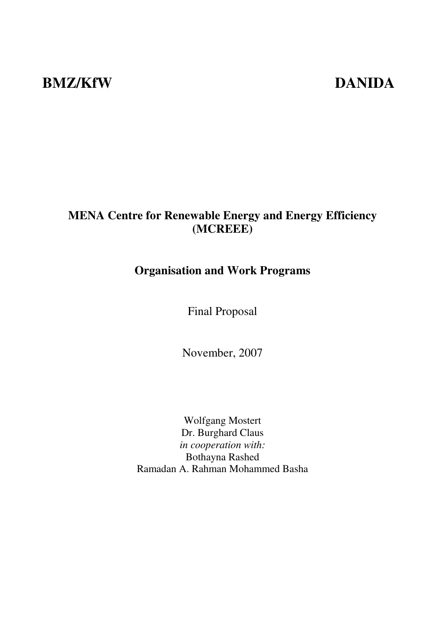# **BMZ/KfW DANIDA**

# **MENA Centre for Renewable Energy and Energy Efficiency (MCREEE)**

# **Organisation and Work Programs**

Final Proposal

November, 2007

Wolfgang Mostert Dr. Burghard Claus *in cooperation with:*  Bothayna Rashed Ramadan A. Rahman Mohammed Basha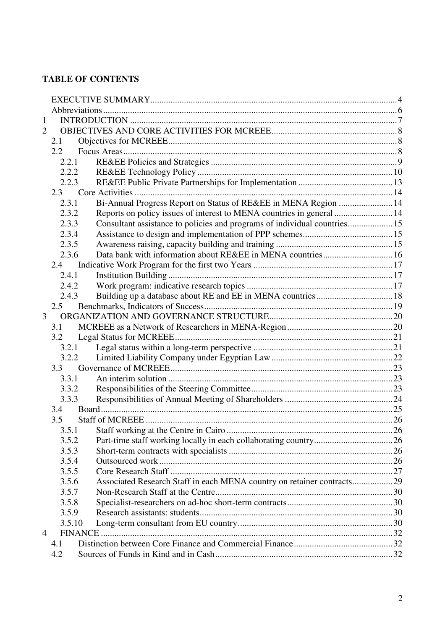### **TABLE OF CONTENTS**

| $\mathbf{1}$   |        |                                                                           |  |  |
|----------------|--------|---------------------------------------------------------------------------|--|--|
| $\overline{2}$ |        |                                                                           |  |  |
|                | 2.1    |                                                                           |  |  |
|                | 2.2    |                                                                           |  |  |
|                | 2.2.1  |                                                                           |  |  |
|                | 2.2.2  |                                                                           |  |  |
|                | 2.2.3  |                                                                           |  |  |
|                | 2.3    |                                                                           |  |  |
|                | 2.3.1  | Bi-Annual Progress Report on Status of RE&EE in MENA Region  14           |  |  |
|                | 2.3.2  | Reports on policy issues of interest to MENA countries in general  14     |  |  |
|                | 2.3.3  | Consultant assistance to policies and programs of individual countries 15 |  |  |
|                | 2.3.4  |                                                                           |  |  |
|                | 2.3.5  |                                                                           |  |  |
|                | 2.3.6  | Data bank with information about RE&EE in MENA countries 16               |  |  |
|                | 2.4    |                                                                           |  |  |
|                | 2.4.1  |                                                                           |  |  |
|                | 2.4.2  |                                                                           |  |  |
|                | 2.4.3  |                                                                           |  |  |
|                | 2.5    |                                                                           |  |  |
| $\overline{3}$ |        |                                                                           |  |  |
|                | 3.1    |                                                                           |  |  |
|                | 3.2    |                                                                           |  |  |
|                | 3.2.1  |                                                                           |  |  |
|                | 3.2.2  |                                                                           |  |  |
|                | 3.3    |                                                                           |  |  |
|                | 3.3.1  |                                                                           |  |  |
|                | 3.3.2  |                                                                           |  |  |
|                | 3.3.3  |                                                                           |  |  |
|                | 3.4    |                                                                           |  |  |
|                | 3.5    |                                                                           |  |  |
|                |        |                                                                           |  |  |
|                | 3.5.2  |                                                                           |  |  |
|                | 3.5.3  |                                                                           |  |  |
|                | 3.5.4  |                                                                           |  |  |
|                | 3.5.5  |                                                                           |  |  |
|                | 3.5.6  | Associated Research Staff in each MENA country on retainer contracts29    |  |  |
|                | 3.5.7  |                                                                           |  |  |
|                | 3.5.8  |                                                                           |  |  |
|                | 3.5.9  |                                                                           |  |  |
|                | 3.5.10 |                                                                           |  |  |
| $\overline{4}$ |        |                                                                           |  |  |
|                | 4.1    |                                                                           |  |  |
|                | 4.2    |                                                                           |  |  |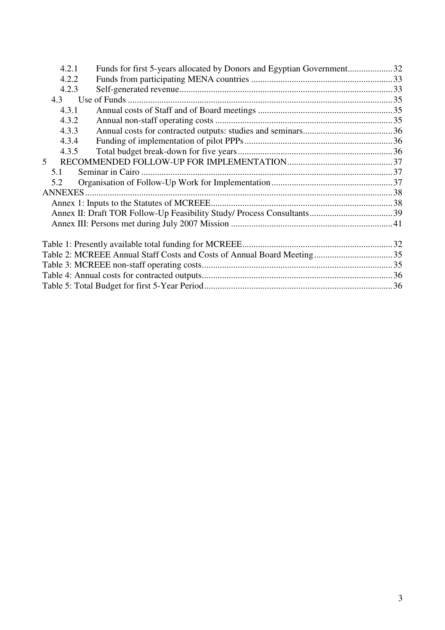| 4.2.1 | Funds for first 5-years allocated by Donors and Egyptian Government32 |  |
|-------|-----------------------------------------------------------------------|--|
| 4.2.2 |                                                                       |  |
| 4.2.3 |                                                                       |  |
| 4.3   |                                                                       |  |
| 4.3.1 |                                                                       |  |
| 4.3.2 |                                                                       |  |
| 4.3.3 |                                                                       |  |
| 4.3.4 |                                                                       |  |
| 4.3.5 |                                                                       |  |
| 5     |                                                                       |  |
| 5.1   |                                                                       |  |
| 5.2   |                                                                       |  |
|       |                                                                       |  |
|       |                                                                       |  |
|       |                                                                       |  |
|       |                                                                       |  |
|       |                                                                       |  |
|       |                                                                       |  |
|       |                                                                       |  |
|       |                                                                       |  |
|       |                                                                       |  |
|       |                                                                       |  |
|       |                                                                       |  |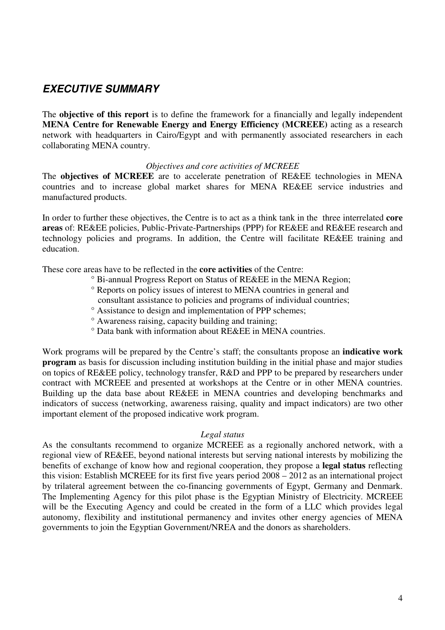# **EXECUTIVE SUMMARY**

The **objective of this report** is to define the framework for a financially and legally independent **MENA Centre for Renewable Energy and Energy Efficiency (MCREEE)** acting as a research network with headquarters in Cairo/Egypt and with permanently associated researchers in each collaborating MENA country.

#### *Objectives and core activities of MCREEE*

The **objectives of MCREEE** are to accelerate penetration of RE&EE technologies in MENA countries and to increase global market shares for MENA RE&EE service industries and manufactured products.

In order to further these objectives, the Centre is to act as a think tank in the three interrelated **core areas** of: RE&EE policies, Public-Private-Partnerships (PPP) for RE&EE and RE&EE research and technology policies and programs. In addition, the Centre will facilitate RE&EE training and education.

These core areas have to be reflected in the **core activities** of the Centre:

- ° Bi-annual Progress Report on Status of RE&EE in the MENA Region;
- ° Reports on policy issues of interest to MENA countries in general and consultant assistance to policies and programs of individual countries;
- ° Assistance to design and implementation of PPP schemes;
- ° Awareness raising, capacity building and training;
- ° Data bank with information about RE&EE in MENA countries.

Work programs will be prepared by the Centre's staff; the consultants propose an **indicative work program** as basis for discussion including institution building in the initial phase and major studies on topics of RE&EE policy, technology transfer, R&D and PPP to be prepared by researchers under contract with MCREEE and presented at workshops at the Centre or in other MENA countries. Building up the data base about RE&EE in MENA countries and developing benchmarks and indicators of success (networking, awareness raising, quality and impact indicators) are two other important element of the proposed indicative work program.

#### *Legal status*

As the consultants recommend to organize MCREEE as a regionally anchored network, with a regional view of RE&EE, beyond national interests but serving national interests by mobilizing the benefits of exchange of know how and regional cooperation, they propose a **legal status** reflecting this vision: Establish MCREEE for its first five years period 2008 – 2012 as an international project by trilateral agreement between the co-financing governments of Egypt, Germany and Denmark. The Implementing Agency for this pilot phase is the Egyptian Ministry of Electricity. MCREEE will be the Executing Agency and could be created in the form of a LLC which provides legal autonomy, flexibility and institutional permanency and invites other energy agencies of MENA governments to join the Egyptian Government/NREA and the donors as shareholders.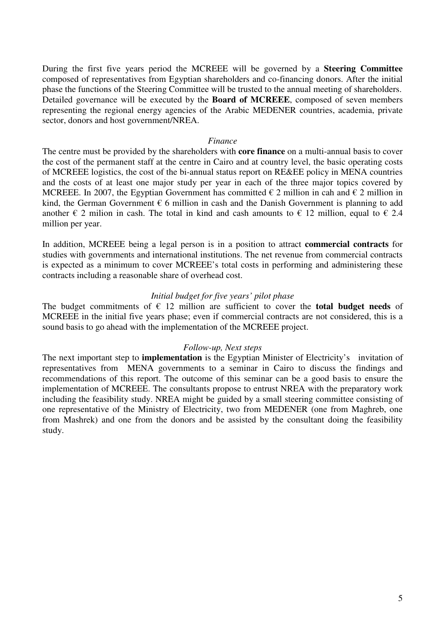During the first five years period the MCREEE will be governed by a **Steering Committee**  composed of representatives from Egyptian shareholders and co-financing donors. After the initial phase the functions of the Steering Committee will be trusted to the annual meeting of shareholders. Detailed governance will be executed by the **Board of MCREEE**, composed of seven members representing the regional energy agencies of the Arabic MEDENER countries, academia, private sector, donors and host government/NREA.

#### *Finance*

The centre must be provided by the shareholders with **core finance** on a multi-annual basis to cover the cost of the permanent staff at the centre in Cairo and at country level, the basic operating costs of MCREEE logistics, the cost of the bi-annual status report on RE&EE policy in MENA countries and the costs of at least one major study per year in each of the three major topics covered by MCREEE. In 2007, the Egyptian Government has committed  $\epsilon$  2 million in cah and  $\epsilon$  2 million in kind, the German Government  $\epsilon$  6 million in cash and the Danish Government is planning to add another  $\epsilon$  2 milion in cash. The total in kind and cash amounts to  $\epsilon$  12 million, equal to  $\epsilon$  2.4 million per year.

In addition, MCREEE being a legal person is in a position to attract **commercial contracts** for studies with governments and international institutions. The net revenue from commercial contracts is expected as a minimum to cover MCREEE's total costs in performing and administering these contracts including a reasonable share of overhead cost.

#### *Initial budget for five years' pilot phase*

The budget commitments of  $\in$  12 million are sufficient to cover the **total budget needs** of MCREEE in the initial five years phase; even if commercial contracts are not considered, this is a sound basis to go ahead with the implementation of the MCREEE project.

#### *Follow-up, Next steps*

The next important step to **implementation** is the Egyptian Minister of Electricity's invitation of representatives from MENA governments to a seminar in Cairo to discuss the findings and recommendations of this report. The outcome of this seminar can be a good basis to ensure the implementation of MCREEE. The consultants propose to entrust NREA with the preparatory work including the feasibility study. NREA might be guided by a small steering committee consisting of one representative of the Ministry of Electricity, two from MEDENER (one from Maghreb, one from Mashrek) and one from the donors and be assisted by the consultant doing the feasibility study.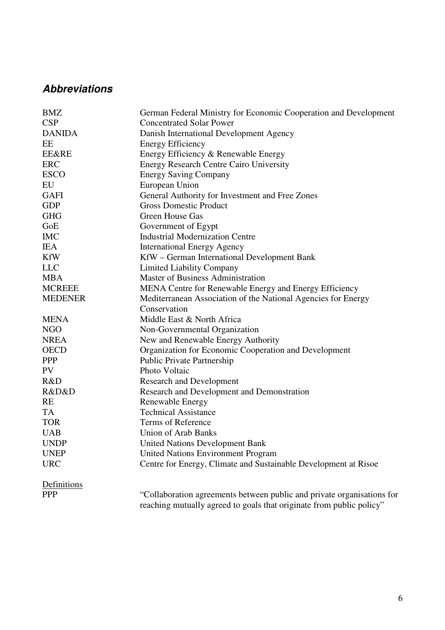# **Abbreviations**

| <b>BMZ</b>       | German Federal Ministry for Economic Cooperation and Development       |
|------------------|------------------------------------------------------------------------|
| <b>CSP</b>       | <b>Concentrated Solar Power</b>                                        |
| <b>DANIDA</b>    | Danish International Development Agency                                |
| EE               | <b>Energy Efficiency</b>                                               |
| <b>EE&amp;RE</b> | Energy Efficiency & Renewable Energy                                   |
| <b>ERC</b>       | <b>Energy Research Centre Cairo University</b>                         |
| <b>ESCO</b>      | <b>Energy Saving Company</b>                                           |
| EU               | European Union                                                         |
| <b>GAFI</b>      | General Authority for Investment and Free Zones                        |
| <b>GDP</b>       | <b>Gross Domestic Product</b>                                          |
| <b>GHG</b>       | Green House Gas                                                        |
| GoE              | Government of Egypt                                                    |
| <b>IMC</b>       | <b>Industrial Modernization Centre</b>                                 |
| <b>IEA</b>       | <b>International Energy Agency</b>                                     |
| <b>KfW</b>       | KfW – German International Development Bank                            |
| <b>LLC</b>       | <b>Limited Liability Company</b>                                       |
| <b>MBA</b>       | <b>Master of Business Administration</b>                               |
| <b>MCREEE</b>    | MENA Centre for Renewable Energy and Energy Efficiency                 |
| <b>MEDENER</b>   | Mediterranean Association of the National Agencies for Energy          |
|                  | Conservation                                                           |
| <b>MENA</b>      | Middle East & North Africa                                             |
| <b>NGO</b>       | Non-Governmental Organization                                          |
| <b>NREA</b>      | New and Renewable Energy Authority                                     |
| <b>OECD</b>      | Organization for Economic Cooperation and Development                  |
| <b>PPP</b>       | <b>Public Private Partnership</b>                                      |
| PV               | Photo Voltaic                                                          |
| R&D              | <b>Research and Development</b>                                        |
| R&D&D            | Research and Development and Demonstration                             |
| <b>RE</b>        | Renewable Energy                                                       |
| <b>TA</b>        | <b>Technical Assistance</b>                                            |
| <b>TOR</b>       | Terms of Reference                                                     |
| <b>UAB</b>       | <b>Union of Arab Banks</b>                                             |
| <b>UNDP</b>      | <b>United Nations Development Bank</b>                                 |
| <b>UNEP</b>      | <b>United Nations Environment Program</b>                              |
| <b>URC</b>       | Centre for Energy, Climate and Sustainable Development at Risoe        |
| Definitions      |                                                                        |
| <b>PPP</b>       | "Collaboration agreements between public and private organisations for |
|                  | reaching mutually agreed to goals that originate from public policy"   |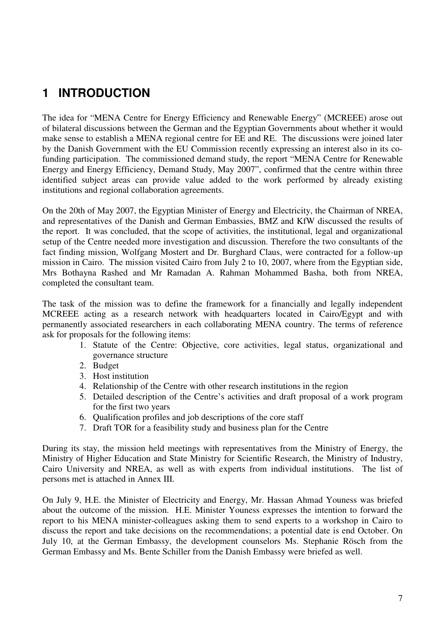# **1 INTRODUCTION**

The idea for "MENA Centre for Energy Efficiency and Renewable Energy" (MCREEE) arose out of bilateral discussions between the German and the Egyptian Governments about whether it would make sense to establish a MENA regional centre for EE and RE. The discussions were joined later by the Danish Government with the EU Commission recently expressing an interest also in its cofunding participation. The commissioned demand study, the report "MENA Centre for Renewable Energy and Energy Efficiency, Demand Study, May 2007", confirmed that the centre within three identified subject areas can provide value added to the work performed by already existing institutions and regional collaboration agreements.

On the 20th of May 2007, the Egyptian Minister of Energy and Electricity, the Chairman of NREA, and representatives of the Danish and German Embassies, BMZ and KfW discussed the results of the report. It was concluded, that the scope of activities, the institutional, legal and organizational setup of the Centre needed more investigation and discussion. Therefore the two consultants of the fact finding mission, Wolfgang Mostert and Dr. Burghard Claus, were contracted for a follow-up mission in Cairo. The mission visited Cairo from July 2 to 10, 2007, where from the Egyptian side, Mrs Bothayna Rashed and Mr Ramadan A. Rahman Mohammed Basha, both from NREA, completed the consultant team.

The task of the mission was to define the framework for a financially and legally independent MCREEE acting as a research network with headquarters located in Cairo/Egypt and with permanently associated researchers in each collaborating MENA country. The terms of reference ask for proposals for the following items:

- 1. Statute of the Centre: Objective, core activities, legal status, organizational and governance structure
- 2. Budget
- 3. Host institution
- 4. Relationship of the Centre with other research institutions in the region
- 5. Detailed description of the Centre's activities and draft proposal of a work program for the first two years
- 6. Qualification profiles and job descriptions of the core staff
- 7. Draft TOR for a feasibility study and business plan for the Centre

During its stay, the mission held meetings with representatives from the Ministry of Energy, the Ministry of Higher Education and State Ministry for Scientific Research, the Ministry of Industry, Cairo University and NREA, as well as with experts from individual institutions. The list of persons met is attached in Annex III.

On July 9, H.E. the Minister of Electricity and Energy, Mr. Hassan Ahmad Youness was briefed about the outcome of the mission. H.E. Minister Youness expresses the intention to forward the report to his MENA minister-colleagues asking them to send experts to a workshop in Cairo to discuss the report and take decisions on the recommendations; a potential date is end October. On July 10, at the German Embassy, the development counselors Ms. Stephanie Rösch from the German Embassy and Ms. Bente Schiller from the Danish Embassy were briefed as well.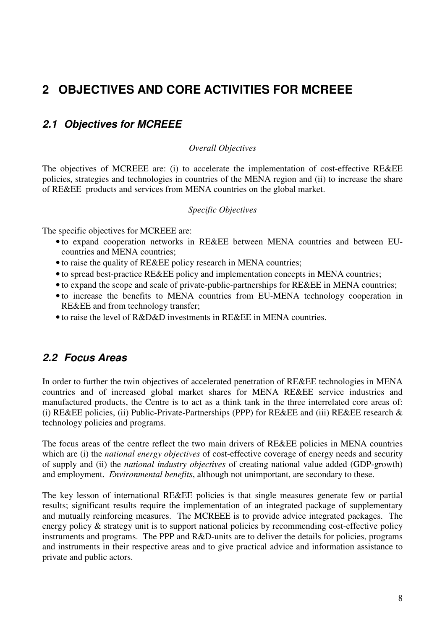# **2 OBJECTIVES AND CORE ACTIVITIES FOR MCREEE**

# **2.1 Objectives for MCREEE**

#### *Overall Objectives*

The objectives of MCREEE are: (i) to accelerate the implementation of cost-effective RE&EE policies, strategies and technologies in countries of the MENA region and (ii) to increase the share of RE&EE products and services from MENA countries on the global market.

#### *Specific Objectives*

The specific objectives for MCREEE are:

- to expand cooperation networks in RE&EE between MENA countries and between EUcountries and MENA countries;
- to raise the quality of RE&EE policy research in MENA countries;
- to spread best-practice RE&EE policy and implementation concepts in MENA countries;
- to expand the scope and scale of private-public-partnerships for RE&EE in MENA countries;
- to increase the benefits to MENA countries from EU-MENA technology cooperation in RE&EE and from technology transfer;
- to raise the level of R&D&D investments in RE&EE in MENA countries.

### **2.2 Focus Areas**

In order to further the twin objectives of accelerated penetration of RE&EE technologies in MENA countries and of increased global market shares for MENA RE&EE service industries and manufactured products, the Centre is to act as a think tank in the three interrelated core areas of: (i) RE&EE policies, (ii) Public-Private-Partnerships (PPP) for RE&EE and (iii) RE&EE research & technology policies and programs.

The focus areas of the centre reflect the two main drivers of RE&EE policies in MENA countries which are (i) the *national energy objectives* of cost-effective coverage of energy needs and security of supply and (ii) the *national industry objectives* of creating national value added (GDP-growth) and employment. *Environmental benefits*, although not unimportant, are secondary to these.

The key lesson of international RE&EE policies is that single measures generate few or partial results; significant results require the implementation of an integrated package of supplementary and mutually reinforcing measures. The MCREEE is to provide advice integrated packages. The energy policy & strategy unit is to support national policies by recommending cost-effective policy instruments and programs. The PPP and R&D-units are to deliver the details for policies, programs and instruments in their respective areas and to give practical advice and information assistance to private and public actors.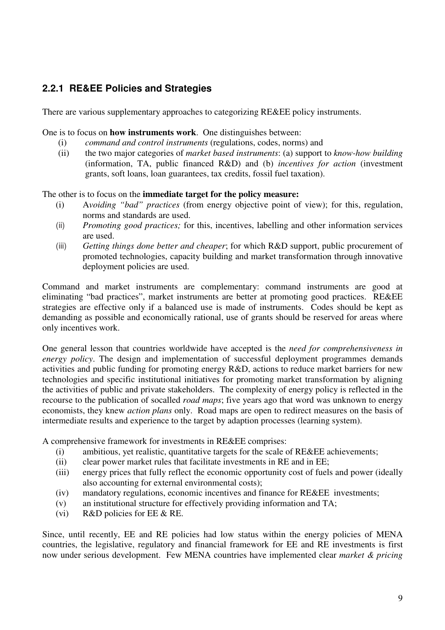# **2.2.1 RE&EE Policies and Strategies**

There are various supplementary approaches to categorizing RE&EE policy instruments.

One is to focus on **how instruments work**. One distinguishes between:

- (i) *command and control instruments* (regulations, codes, norms) and
- (ii) the two major categories of *market based instruments*: (a) support to *know-how building*  (information, TA, public financed R&D) and (b) *incentives for action* (investment grants, soft loans, loan guarantees, tax credits, fossil fuel taxation).

#### The other is to focus on the **immediate target for the policy measure:**

- (i) A*voiding "bad" practices* (from energy objective point of view); for this, regulation, norms and standards are used.
- (ii) *Promoting good practices;* for this, incentives, labelling and other information services are used.
- (iii) *Getting things done better and cheaper*; for which R&D support, public procurement of promoted technologies, capacity building and market transformation through innovative deployment policies are used.

Command and market instruments are complementary: command instruments are good at eliminating "bad practices", market instruments are better at promoting good practices. RE&EE strategies are effective only if a balanced use is made of instruments. Codes should be kept as demanding as possible and economically rational, use of grants should be reserved for areas where only incentives work.

One general lesson that countries worldwide have accepted is the *need for comprehensiveness in energy policy*. The design and implementation of successful deployment programmes demands activities and public funding for promoting energy R&D, actions to reduce market barriers for new technologies and specific institutional initiatives for promoting market transformation by aligning the activities of public and private stakeholders. The complexity of energy policy is reflected in the recourse to the publication of socalled *road maps*; five years ago that word was unknown to energy economists, they knew *action plans* only. Road maps are open to redirect measures on the basis of intermediate results and experience to the target by adaption processes (learning system).

A comprehensive framework for investments in RE&EE comprises:

- (i) ambitious, yet realistic, quantitative targets for the scale of RE&EE achievements;
- (ii) clear power market rules that facilitate investments in RE and in EE;
- (iii) energy prices that fully reflect the economic opportunity cost of fuels and power (ideally also accounting for external environmental costs);
- (iv) mandatory regulations, economic incentives and finance for RE&EE investments;
- (v) an institutional structure for effectively providing information and TA;
- (vi) R&D policies for EE & RE.

Since, until recently, EE and RE policies had low status within the energy policies of MENA countries, the legislative, regulatory and financial framework for EE and RE investments is first now under serious development. Few MENA countries have implemented clear *market & pricing*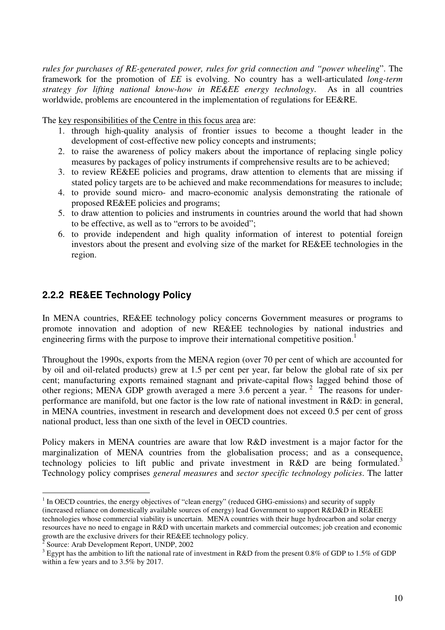*rules for purchases of RE-generated power, rules for grid connection and "power wheeling*". The framework for the promotion of *EE* is evolving. No country has a well-articulated *long-term strategy for lifting national know-how in RE&EE energy technology*. As in all countries worldwide, problems are encountered in the implementation of regulations for EE&RE.

The key responsibilities of the Centre in this focus area are:

- 1. through high-quality analysis of frontier issues to become a thought leader in the development of cost-effective new policy concepts and instruments;
- 2. to raise the awareness of policy makers about the importance of replacing single policy measures by packages of policy instruments if comprehensive results are to be achieved;
- 3. to review RE&EE policies and programs, draw attention to elements that are missing if stated policy targets are to be achieved and make recommendations for measures to include;
- 4. to provide sound micro- and macro-economic analysis demonstrating the rationale of proposed RE&EE policies and programs;
- 5. to draw attention to policies and instruments in countries around the world that had shown to be effective, as well as to "errors to be avoided";
- 6. to provide independent and high quality information of interest to potential foreign investors about the present and evolving size of the market for RE&EE technologies in the region.

# **2.2.2 RE&EE Technology Policy**

In MENA countries, RE&EE technology policy concerns Government measures or programs to promote innovation and adoption of new RE&EE technologies by national industries and engineering firms with the purpose to improve their international competitive position.<sup>1</sup>

Throughout the 1990s, exports from the MENA region (over 70 per cent of which are accounted for by oil and oil-related products) grew at 1.5 per cent per year, far below the global rate of six per cent; manufacturing exports remained stagnant and private-capital flows lagged behind those of other regions; MENA GDP growth averaged a mere 3.6 percent a year.<sup>2</sup> The reasons for underperformance are manifold, but one factor is the low rate of national investment in R&D: in general, in MENA countries, investment in research and development does not exceed 0.5 per cent of gross national product, less than one sixth of the level in OECD countries.

Policy makers in MENA countries are aware that low R&D investment is a major factor for the marginalization of MENA countries from the globalisation process; and as a consequence, technology policies to lift public and private investment in  $R&D$  are being formulated.<sup>3</sup> Technology policy comprises *general measures* and *sector specific technology policies*. The latter

 $\overline{a}$ 

 $1$  In OECD countries, the energy objectives of "clean energy" (reduced GHG-emissions) and security of supply (increased reliance on domestically available sources of energy) lead Government to support R&D&D in RE&EE technologies whose commercial viability is uncertain. MENA countries with their huge hydrocarbon and solar energy resources have no need to engage in R&D with uncertain markets and commercial outcomes; job creation and economic growth are the exclusive drivers for their RE&EE technology policy.

 $\bar{2}$ Source: Arab Development Report, UNDP, 2002

 $3$  Egypt has the ambition to lift the national rate of investment in R&D from the present 0.8% of GDP to 1.5% of GDP within a few years and to 3.5% by 2017.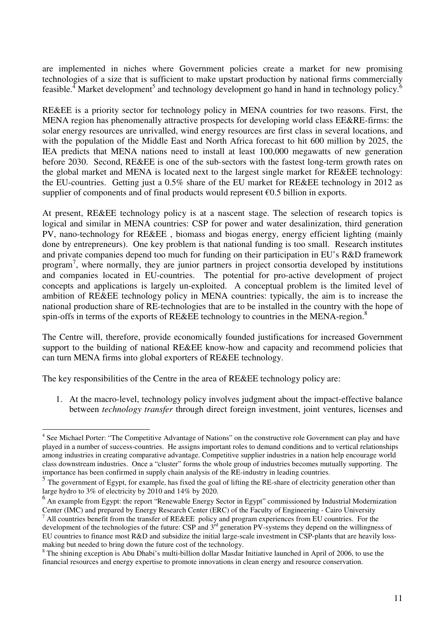are implemented in niches where Government policies create a market for new promising technologies of a size that is sufficient to make upstart production by national firms commercially feasible.<sup>4</sup> Market development<sup>5</sup> and technology development go hand in hand in technology policy.<sup>6</sup>

RE&EE is a priority sector for technology policy in MENA countries for two reasons. First, the MENA region has phenomenally attractive prospects for developing world class EE&RE-firms: the solar energy resources are unrivalled, wind energy resources are first class in several locations, and with the population of the Middle East and North Africa forecast to hit 600 million by 2025, the IEA predicts that MENA nations need to install at least 100,000 megawatts of new generation before 2030. Second, RE&EE is one of the sub-sectors with the fastest long-term growth rates on the global market and MENA is located next to the largest single market for RE&EE technology: the EU-countries. Getting just a 0.5% share of the EU market for RE&EE technology in 2012 as supplier of components and of final products would represent  $\epsilon$ 0.5 billion in exports.

At present, RE&EE technology policy is at a nascent stage. The selection of research topics is logical and similar in MENA countries: CSP for power and water desalinization, third generation PV, nano-technology for RE&EE , biomass and biogas energy, energy efficient lighting (mainly done by entrepreneurs). One key problem is that national funding is too small. Research institutes and private companies depend too much for funding on their participation in EU's R&D framework program<sup>7</sup>, where normally, they are junior partners in project consortia developed by institutions and companies located in EU-countries. The potential for pro-active development of project concepts and applications is largely un-exploited. A conceptual problem is the limited level of ambition of RE&EE technology policy in MENA countries: typically, the aim is to increase the national production share of RE-technologies that are to be installed in the country with the hope of spin-offs in terms of the exports of RE&EE technology to countries in the MENA-region. $8$ 

The Centre will, therefore, provide economically founded justifications for increased Government support to the building of national RE&EE know-how and capacity and recommend policies that can turn MENA firms into global exporters of RE&EE technology.

The key responsibilities of the Centre in the area of RE&EE technology policy are:

 $\overline{a}$ 

1. At the macro-level, technology policy involves judgment about the impact-effective balance between *technology transfer* through direct foreign investment, joint ventures, licenses and

<sup>&</sup>lt;sup>4</sup> See Michael Porter: "The Competitive Advantage of Nations" on the constructive role Government can play and have played in a number of success-countries. He assigns important roles to demand conditions and to vertical relationships among industries in creating comparative advantage. Competitive supplier industries in a nation help encourage world class downstream industries. Once a "cluster" forms the whole group of industries becomes mutually supporting. The importance has been confirmed in supply chain analysis of the RE-industry in leading countries.

<sup>&</sup>lt;sup>5</sup> The government of Egypt, for example, has fixed the goal of lifting the RE-share of electricity generation other than large hydro to 3% of electricity by 2010 and 14% by 2020.

<sup>&</sup>lt;sup>6</sup> An example from Egypt: the report "Renewable Energy Sector in Egypt" commissioned by Industrial Modernization Center (IMC) and prepared by Energy Research Center (ERC) of the Faculty of Engineering - Cairo University

<sup>&</sup>lt;sup>7</sup> All countries benefit from the transfer of RE&EE policy and program experiences from EU countries. For the development of the technologies of the future: CSP and 3<sup>rd</sup> generation PV-systems they depend on the willingness of EU countries to finance most R&D and subsidize the initial large-scale investment in CSP-plants that are heavily lossmaking but needed to bring down the future cost of the technology.

<sup>&</sup>lt;sup>8</sup> The shining exception is Abu Dhabi's multi-billion dollar Masdar Initiative launched in April of 2006, to use the financial resources and energy expertise to promote innovations in clean energy and resource conservation.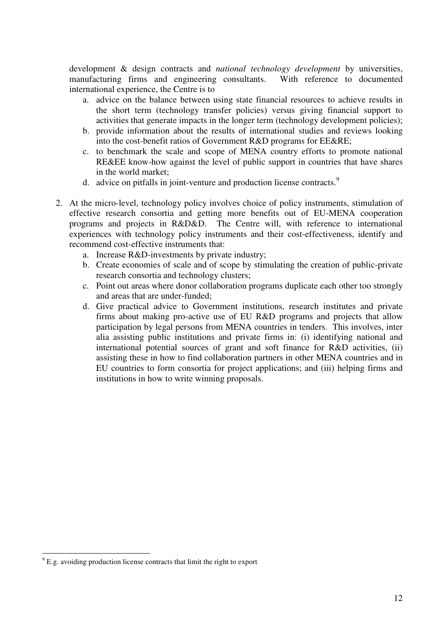development & design contracts and *national technology development* by universities, manufacturing firms and engineering consultants. With reference to documented international experience, the Centre is to

- a. advice on the balance between using state financial resources to achieve results in the short term (technology transfer policies) versus giving financial support to activities that generate impacts in the longer term (technology development policies);
- b. provide information about the results of international studies and reviews looking into the cost-benefit ratios of Government R&D programs for EE&RE;
- c. to benchmark the scale and scope of MENA country efforts to promote national RE&EE know-how against the level of public support in countries that have shares in the world market;
- d. advice on pitfalls in joint-venture and production license contracts.<sup>9</sup>
- 2. At the micro-level, technology policy involves choice of policy instruments, stimulation of effective research consortia and getting more benefits out of EU-MENA cooperation programs and projects in R&D&D. The Centre will, with reference to international experiences with technology policy instruments and their cost-effectiveness, identify and recommend cost-effective instruments that:
	- a. Increase R&D-investments by private industry;
	- b. Create economies of scale and of scope by stimulating the creation of public-private research consortia and technology clusters;
	- c. Point out areas where donor collaboration programs duplicate each other too strongly and areas that are under-funded;
	- d. Give practical advice to Government institutions, research institutes and private firms about making pro-active use of EU R&D programs and projects that allow participation by legal persons from MENA countries in tenders. This involves, inter alia assisting public institutions and private firms in: (i) identifying national and international potential sources of grant and soft finance for R&D activities, (ii) assisting these in how to find collaboration partners in other MENA countries and in EU countries to form consortia for project applications; and (iii) helping firms and institutions in how to write winning proposals.

 $\overline{a}$ 

 $9^9$  E.g. avoiding production license contracts that limit the right to export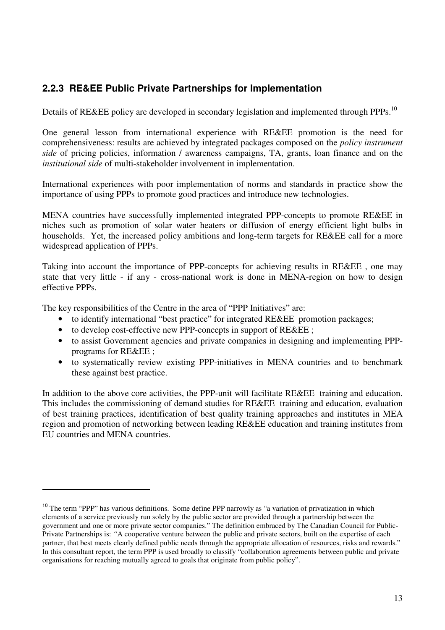# **2.2.3 RE&EE Public Private Partnerships for Implementation**

Details of RE&EE policy are developed in secondary legislation and implemented through PPPs.<sup>10</sup>

One general lesson from international experience with RE&EE promotion is the need for comprehensiveness: results are achieved by integrated packages composed on the *policy instrument side* of pricing policies, information / awareness campaigns, TA, grants, loan finance and on the *institutional side* of multi-stakeholder involvement in implementation.

International experiences with poor implementation of norms and standards in practice show the importance of using PPPs to promote good practices and introduce new technologies.

MENA countries have successfully implemented integrated PPP-concepts to promote RE&EE in niches such as promotion of solar water heaters or diffusion of energy efficient light bulbs in households. Yet, the increased policy ambitions and long-term targets for RE&EE call for a more widespread application of PPPs.

Taking into account the importance of PPP-concepts for achieving results in RE&EE , one may state that very little - if any - cross-national work is done in MENA-region on how to design effective PPPs.

The key responsibilities of the Centre in the area of "PPP Initiatives" are:

 $\overline{a}$ 

- to identify international "best practice" for integrated RE&EE promotion packages;
- to develop cost-effective new PPP-concepts in support of RE&EE ;
- to assist Government agencies and private companies in designing and implementing PPPprograms for RE&EE ;
- to systematically review existing PPP-initiatives in MENA countries and to benchmark these against best practice.

In addition to the above core activities, the PPP-unit will facilitate RE&EE training and education. This includes the commissioning of demand studies for RE&EE training and education, evaluation of best training practices, identification of best quality training approaches and institutes in MEA region and promotion of networking between leading RE&EE education and training institutes from EU countries and MENA countries.

<sup>&</sup>lt;sup>10</sup> The term "PPP" has various definitions. Some define PPP narrowly as "a variation of privatization in which elements of a service previously run solely by the public sector are provided through a partnership between the government and one or more private sector companies." The definition embraced by The Canadian Council for Public-Private Partnerships is: *"*A cooperative venture between the public and private sectors, built on the expertise of each partner, that best meets clearly defined public needs through the appropriate allocation of resources, risks and rewards." In this consultant report, the term PPP is used broadly to classify "collaboration agreements between public and private organisations for reaching mutually agreed to goals that originate from public policy".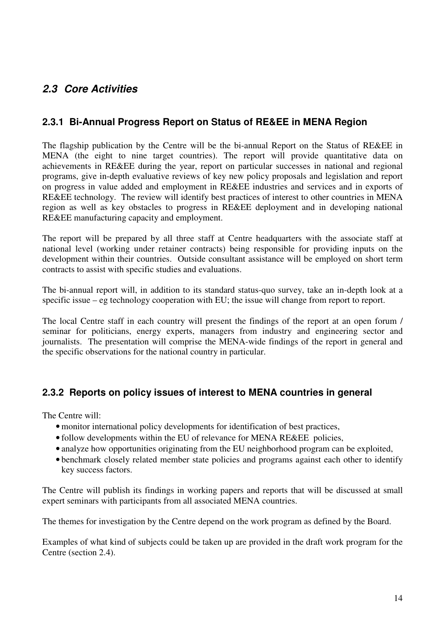# **2.3 Core Activities**

### **2.3.1 Bi-Annual Progress Report on Status of RE&EE in MENA Region**

The flagship publication by the Centre will be the bi-annual Report on the Status of RE&EE in MENA (the eight to nine target countries). The report will provide quantitative data on achievements in RE&EE during the year, report on particular successes in national and regional programs, give in-depth evaluative reviews of key new policy proposals and legislation and report on progress in value added and employment in RE&EE industries and services and in exports of RE&EE technology. The review will identify best practices of interest to other countries in MENA region as well as key obstacles to progress in RE&EE deployment and in developing national RE&EE manufacturing capacity and employment.

The report will be prepared by all three staff at Centre headquarters with the associate staff at national level (working under retainer contracts) being responsible for providing inputs on the development within their countries. Outside consultant assistance will be employed on short term contracts to assist with specific studies and evaluations.

The bi-annual report will, in addition to its standard status-quo survey, take an in-depth look at a specific issue – eg technology cooperation with EU; the issue will change from report to report.

The local Centre staff in each country will present the findings of the report at an open forum / seminar for politicians, energy experts, managers from industry and engineering sector and journalists. The presentation will comprise the MENA-wide findings of the report in general and the specific observations for the national country in particular.

### **2.3.2 Reports on policy issues of interest to MENA countries in general**

The Centre will:

- monitor international policy developments for identification of best practices,
- follow developments within the EU of relevance for MENA RE&EE policies,
- analyze how opportunities originating from the EU neighborhood program can be exploited,
- benchmark closely related member state policies and programs against each other to identify key success factors.

The Centre will publish its findings in working papers and reports that will be discussed at small expert seminars with participants from all associated MENA countries.

The themes for investigation by the Centre depend on the work program as defined by the Board.

Examples of what kind of subjects could be taken up are provided in the draft work program for the Centre (section 2.4).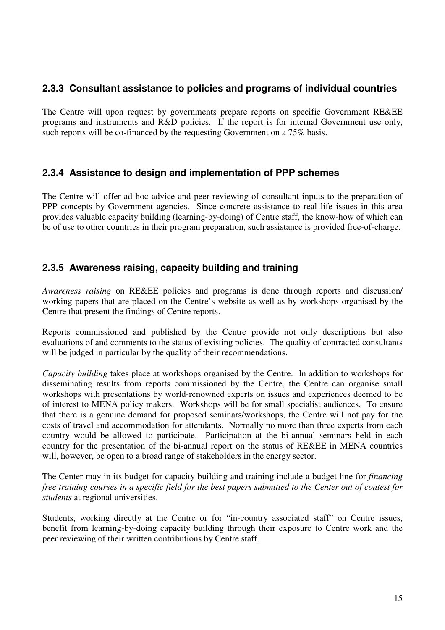### **2.3.3 Consultant assistance to policies and programs of individual countries**

The Centre will upon request by governments prepare reports on specific Government RE&EE programs and instruments and R&D policies. If the report is for internal Government use only, such reports will be co-financed by the requesting Government on a 75% basis.

#### **2.3.4 Assistance to design and implementation of PPP schemes**

The Centre will offer ad-hoc advice and peer reviewing of consultant inputs to the preparation of PPP concepts by Government agencies. Since concrete assistance to real life issues in this area provides valuable capacity building (learning-by-doing) of Centre staff, the know-how of which can be of use to other countries in their program preparation, such assistance is provided free-of-charge.

#### **2.3.5 Awareness raising, capacity building and training**

*Awareness raising* on RE&EE policies and programs is done through reports and discussion/ working papers that are placed on the Centre's website as well as by workshops organised by the Centre that present the findings of Centre reports.

Reports commissioned and published by the Centre provide not only descriptions but also evaluations of and comments to the status of existing policies. The quality of contracted consultants will be judged in particular by the quality of their recommendations.

*Capacity building* takes place at workshops organised by the Centre. In addition to workshops for disseminating results from reports commissioned by the Centre, the Centre can organise small workshops with presentations by world-renowned experts on issues and experiences deemed to be of interest to MENA policy makers. Workshops will be for small specialist audiences. To ensure that there is a genuine demand for proposed seminars/workshops, the Centre will not pay for the costs of travel and accommodation for attendants. Normally no more than three experts from each country would be allowed to participate. Participation at the bi-annual seminars held in each country for the presentation of the bi-annual report on the status of RE&EE in MENA countries will, however, be open to a broad range of stakeholders in the energy sector.

The Center may in its budget for capacity building and training include a budget line for *financing free training courses in a specific field for the best papers submitted to the Center out of contest for students* at regional universities.

Students, working directly at the Centre or for "in-country associated staff" on Centre issues, benefit from learning-by-doing capacity building through their exposure to Centre work and the peer reviewing of their written contributions by Centre staff.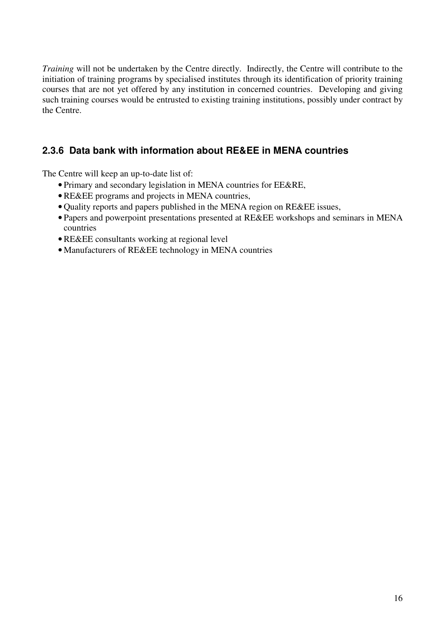*Training* will not be undertaken by the Centre directly. Indirectly, the Centre will contribute to the initiation of training programs by specialised institutes through its identification of priority training courses that are not yet offered by any institution in concerned countries. Developing and giving such training courses would be entrusted to existing training institutions, possibly under contract by the Centre.

# **2.3.6 Data bank with information about RE&EE in MENA countries**

The Centre will keep an up-to-date list of:

- Primary and secondary legislation in MENA countries for EE&RE,
- RE&EE programs and projects in MENA countries,
- Quality reports and papers published in the MENA region on RE&EE issues,
- Papers and powerpoint presentations presented at RE&EE workshops and seminars in MENA countries
- RE&EE consultants working at regional level
- Manufacturers of RE&EE technology in MENA countries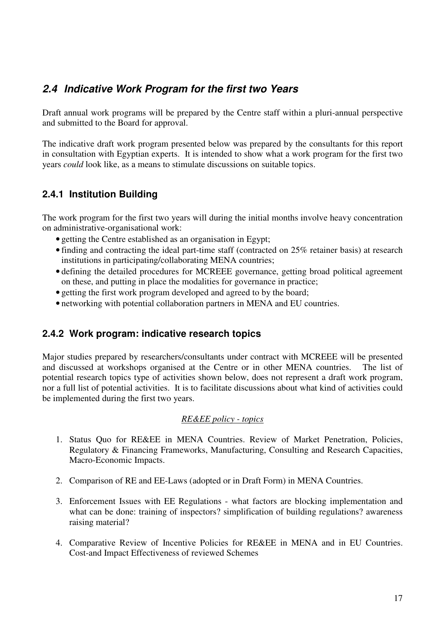# **2.4 Indicative Work Program for the first two Years**

Draft annual work programs will be prepared by the Centre staff within a pluri-annual perspective and submitted to the Board for approval.

The indicative draft work program presented below was prepared by the consultants for this report in consultation with Egyptian experts. It is intended to show what a work program for the first two years *could* look like, as a means to stimulate discussions on suitable topics.

# **2.4.1 Institution Building**

The work program for the first two years will during the initial months involve heavy concentration on administrative-organisational work:

- getting the Centre established as an organisation in Egypt;
- finding and contracting the ideal part-time staff (contracted on 25% retainer basis) at research institutions in participating/collaborating MENA countries;
- defining the detailed procedures for MCREEE governance, getting broad political agreement on these, and putting in place the modalities for governance in practice;
- getting the first work program developed and agreed to by the board;
- networking with potential collaboration partners in MENA and EU countries.

#### **2.4.2 Work program: indicative research topics**

Major studies prepared by researchers/consultants under contract with MCREEE will be presented and discussed at workshops organised at the Centre or in other MENA countries. The list of potential research topics type of activities shown below, does not represent a draft work program, nor a full list of potential activities. It is to facilitate discussions about what kind of activities could be implemented during the first two years.

#### *RE&EE policy - topics*

- 1. Status Quo for RE&EE in MENA Countries. Review of Market Penetration, Policies, Regulatory & Financing Frameworks, Manufacturing, Consulting and Research Capacities, Macro-Economic Impacts.
- 2. Comparison of RE and EE-Laws (adopted or in Draft Form) in MENA Countries.
- 3. Enforcement Issues with EE Regulations what factors are blocking implementation and what can be done: training of inspectors? simplification of building regulations? awareness raising material?
- 4. Comparative Review of Incentive Policies for RE&EE in MENA and in EU Countries. Cost-and Impact Effectiveness of reviewed Schemes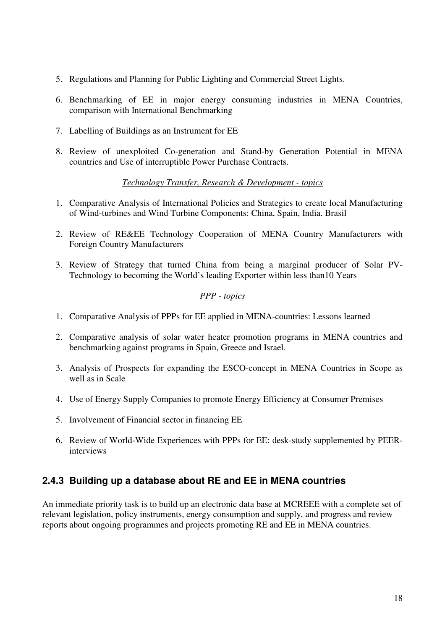- 5. Regulations and Planning for Public Lighting and Commercial Street Lights.
- 6. Benchmarking of EE in major energy consuming industries in MENA Countries, comparison with International Benchmarking
- 7. Labelling of Buildings as an Instrument for EE
- 8. Review of unexploited Co-generation and Stand-by Generation Potential in MENA countries and Use of interruptible Power Purchase Contracts.

#### *Technology Transfer, Research & Development - topics*

- 1. Comparative Analysis of International Policies and Strategies to create local Manufacturing of Wind-turbines and Wind Turbine Components: China, Spain, India. Brasil
- 2. Review of RE&EE Technology Cooperation of MENA Country Manufacturers with Foreign Country Manufacturers
- 3. Review of Strategy that turned China from being a marginal producer of Solar PV-Technology to becoming the World's leading Exporter within less than10 Years

#### *PPP - topics*

- 1. Comparative Analysis of PPPs for EE applied in MENA-countries: Lessons learned
- 2. Comparative analysis of solar water heater promotion programs in MENA countries and benchmarking against programs in Spain, Greece and Israel.
- 3. Analysis of Prospects for expanding the ESCO-concept in MENA Countries in Scope as well as in Scale
- 4. Use of Energy Supply Companies to promote Energy Efficiency at Consumer Premises
- 5. Involvement of Financial sector in financing EE
- 6. Review of World-Wide Experiences with PPPs for EE: desk-study supplemented by PEERinterviews

# **2.4.3 Building up a database about RE and EE in MENA countries**

An immediate priority task is to build up an electronic data base at MCREEE with a complete set of relevant legislation, policy instruments, energy consumption and supply, and progress and review reports about ongoing programmes and projects promoting RE and EE in MENA countries.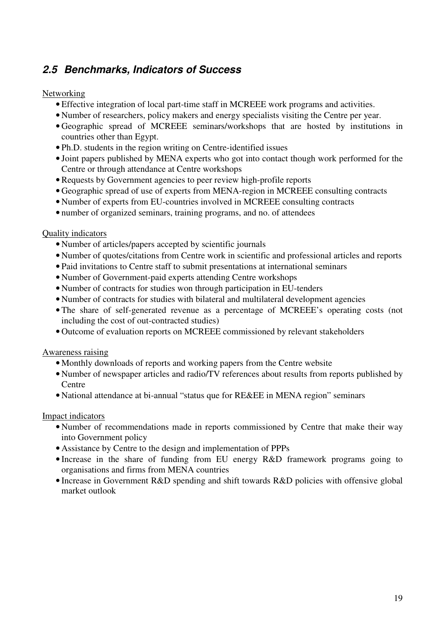# **2.5 Benchmarks, Indicators of Success**

#### Networking

- Effective integration of local part-time staff in MCREEE work programs and activities.
- Number of researchers, policy makers and energy specialists visiting the Centre per year.
- Geographic spread of MCREEE seminars/workshops that are hosted by institutions in countries other than Egypt.
- Ph.D. students in the region writing on Centre-identified issues
- Joint papers published by MENA experts who got into contact though work performed for the Centre or through attendance at Centre workshops
- Requests by Government agencies to peer review high-profile reports
- Geographic spread of use of experts from MENA-region in MCREEE consulting contracts
- Number of experts from EU-countries involved in MCREEE consulting contracts
- number of organized seminars, training programs, and no. of attendees

#### Quality indicators

- Number of articles/papers accepted by scientific journals
- Number of quotes/citations from Centre work in scientific and professional articles and reports
- Paid invitations to Centre staff to submit presentations at international seminars
- Number of Government-paid experts attending Centre workshops
- Number of contracts for studies won through participation in EU-tenders
- Number of contracts for studies with bilateral and multilateral development agencies
- The share of self-generated revenue as a percentage of MCREEE's operating costs (not including the cost of out-contracted studies)
- Outcome of evaluation reports on MCREEE commissioned by relevant stakeholders

#### Awareness raising

- Monthly downloads of reports and working papers from the Centre website
- Number of newspaper articles and radio/TV references about results from reports published by Centre
- National attendance at bi-annual "status que for RE&EE in MENA region" seminars

#### Impact indicators

- Number of recommendations made in reports commissioned by Centre that make their way into Government policy
- Assistance by Centre to the design and implementation of PPPs
- Increase in the share of funding from EU energy R&D framework programs going to organisations and firms from MENA countries
- Increase in Government R&D spending and shift towards R&D policies with offensive global market outlook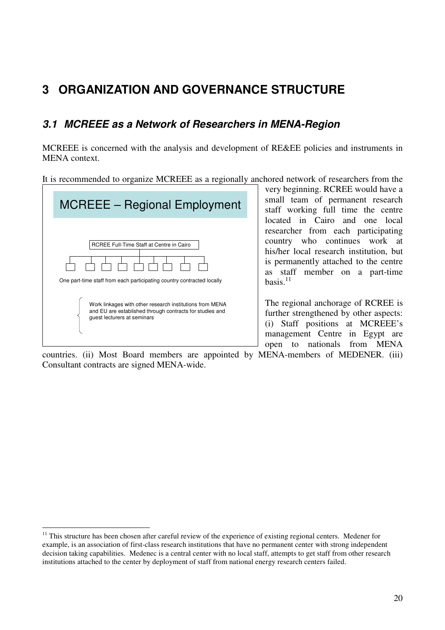# **3 ORGANIZATION AND GOVERNANCE STRUCTURE**

# **3.1 MCREEE as a Network of Researchers in MENA-Region**

MCREEE is concerned with the analysis and development of RE&EE policies and instruments in MENA context.

It is recommended to organize MCREEE as a regionally anchored network of researchers from the



very beginning. RCREE would have a small team of permanent research staff working full time the centre located in Cairo and one local researcher from each participating country who continues work at his/her local research institution, but is permanently attached to the centre as staff member on a part-time basis $11$ 

The regional anchorage of RCREE is further strengthened by other aspects: (i) Staff positions at MCREEE's management Centre in Egypt are open to nationals from MENA

countries. (ii) Most Board members are appointed by MENA-members of MEDENER. (iii) Consultant contracts are signed MENA-wide.

 $\overline{a}$ <sup>11</sup> This structure has been chosen after careful review of the experience of existing regional centers. Medener for example, is an association of first-class research institutions that have no permanent center with strong independent decision taking capabilities. Medenec is a central center with no local staff, attempts to get staff from other research institutions attached to the center by deployment of staff from national energy research centers failed.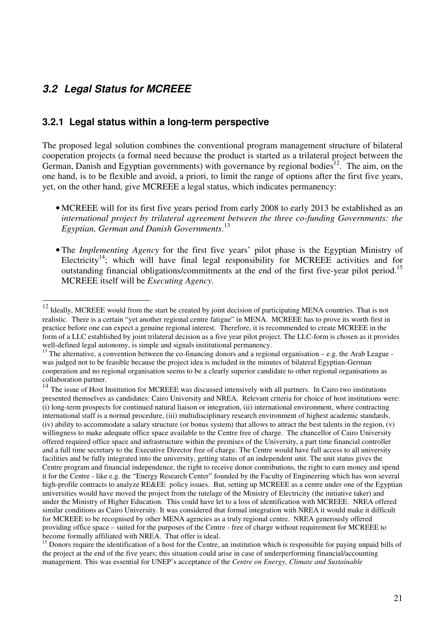# **3.2 Legal Status for MCREEE**

 $\overline{a}$ 

#### **3.2.1 Legal status within a long-term perspective**

The proposed legal solution combines the conventional program management structure of bilateral cooperation projects (a formal need because the product is started as a trilateral project between the German, Danish and Egyptian governments) with governance by regional bodies<sup>12</sup>. The aim, on the one hand, is to be flexible and avoid, a priori, to limit the range of options after the first five years, yet, on the other hand, give MCREEE a legal status, which indicates permanency:

- MCREEE will for its first five years period from early 2008 to early 2013 be established as an *international project by trilateral agreement between the three co-funding Governments: the Egyptian, German and Danish Governments*. 13
- The *Implementing Agency* for the first five years' pilot phase is the Egyptian Ministry of Electricity<sup>14</sup>; which will have final legal responsibility for MCREEE activities and for outstanding financial obligations/commitments at the end of the first five-year pilot period.<sup>15</sup> MCREEE itself will be *Executing Agency*.

 $12$  Ideally, MCREEE would from the start be created by joint decision of participating MENA countries. That is not realistic. There is a certain "yet another regional centre fatigue" in MENA. MCREEE has to prove its worth first in practice before one can expect a genuine regional interest. Therefore, it is recommended to create MCREEE in the form of a LLC established by joint trilateral decision as a five year pilot project. The LLC-form is chosen as it provides well-defined legal autonomy, is simple and signals institutional permanency.

<sup>&</sup>lt;sup>13</sup> The alternative, a convention between the co-financing donors and a regional organisation – e.g. the Arab League was judged not to be feasible because the project idea is included in the minutes of bilateral Egyptian-German cooperation and no regional organisation seems to be a clearly superior candidate to other regional organisations as collaboration partner.

<sup>&</sup>lt;sup>14</sup> The issue of Host Institution for MCREEE was discussed intensively with all partners. In Cairo two institutions presented themselves as candidates: Cairo University and NREA. Relevant criteria for choice of host institutions were: (i) long-term prospects for continued natural liaison or integration, (ii) international environment, where contracting international staff is a normal procedure, (iii) multidisciplinary research environment of highest academic standards, (iv) ability to accommodate a salary structure (or bonus system) that allows to attract the best talents in the region, (v) willingness to make adequate office space available to the Centre free of charge. The chancellor of Cairo University offered required office space and infrastructure within the premises of the University, a part time financial controller and a full time secretary to the Executive Director free of charge. The Centre would have full access to all university facilities and be fully integrated into the university, getting status of an independent unit. The unit status gives the Centre program and financial independence, the right to receive donor contributions, the right to earn money and spend it for the Centre - like e.g. the "Energy Research Center" founded by the Faculty of Engineering which has won several high-profile contracts to analyze RE&EE policy issues. But, setting up MCREEE as a centre under one of the Egyptian universities would have moved the project from the tutelage of the Ministry of Electricity (the initiative taker) and under the Ministry of Higher Education. This could have let to a loss of identification with MCREEE. NREA offered similar conditions as Cairo University. It was considered that formal integration with NREA it would make it difficult for MCREEE to be recognised by other MENA agencies as a truly regional centre. NREA generously offered providing office space – suited for the purposes of the Centre - free of charge without requirement for MCREEE to become formally affiliated with NREA. That offer is ideal.

<sup>&</sup>lt;sup>15</sup> Donors require the identification of a host for the Centre, an institution which is responsible for paying unpaid bills of the project at the end of the five years; this situation could arise in case of underperforming financial/accounting management. This was essential for UNEP's acceptance of the *Centre on Energy, Climate and Sustainable*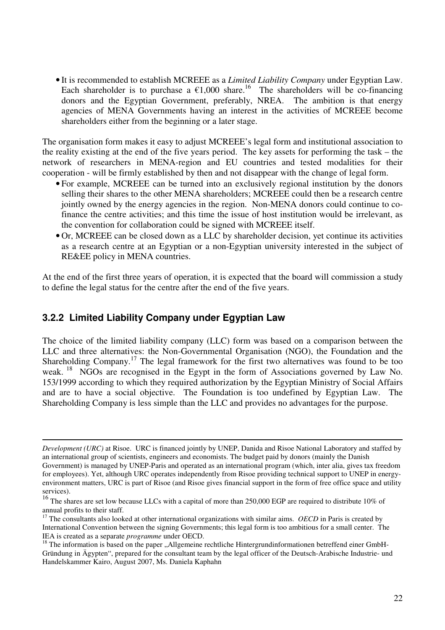• It is recommended to establish MCREEE as a *Limited Liability Company* under Egyptian Law. Each shareholder is to purchase a  $\epsilon$ 1,000 share.<sup>16</sup> The shareholders will be co-financing donors and the Egyptian Government, preferably, NREA. The ambition is that energy agencies of MENA Governments having an interest in the activities of MCREEE become shareholders either from the beginning or a later stage.

The organisation form makes it easy to adjust MCREEE's legal form and institutional association to the reality existing at the end of the five years period. The key assets for performing the task – the network of researchers in MENA-region and EU countries and tested modalities for their cooperation - will be firmly established by then and not disappear with the change of legal form.

- For example, MCREEE can be turned into an exclusively regional institution by the donors selling their shares to the other MENA shareholders; MCREEE could then be a research centre jointly owned by the energy agencies in the region. Non-MENA donors could continue to cofinance the centre activities; and this time the issue of host institution would be irrelevant, as the convention for collaboration could be signed with MCREEE itself.
- Or, MCREEE can be closed down as a LLC by shareholder decision, yet continue its activities as a research centre at an Egyptian or a non-Egyptian university interested in the subject of RE&EE policy in MENA countries.

At the end of the first three years of operation, it is expected that the board will commission a study to define the legal status for the centre after the end of the five years.

#### **3.2.2 Limited Liability Company under Egyptian Law**

 $\overline{a}$ 

The choice of the limited liability company (LLC) form was based on a comparison between the LLC and three alternatives: the Non-Governmental Organisation (NGO), the Foundation and the Shareholding Company.<sup>17</sup> The legal framework for the first two alternatives was found to be too weak.<sup>18</sup> NGOs are recognised in the Egypt in the form of Associations governed by Law No. 153/1999 according to which they required authorization by the Egyptian Ministry of Social Affairs and are to have a social objective. The Foundation is too undefined by Egyptian Law. The Shareholding Company is less simple than the LLC and provides no advantages for the purpose.

*Development (URC)* at Risoe. URC is financed jointly by UNEP, Danida and Risoe National Laboratory and staffed by an international group of scientists, engineers and economists. The budget paid by donors (mainly the Danish Government) is managed by UNEP-Paris and operated as an international program (which, inter alia, gives tax freedom for employees). Yet, although URC operates independently from Risoe providing technical support to UNEP in energyenvironment matters, URC is part of Risoe (and Risoe gives financial support in the form of free office space and utility services).

<sup>&</sup>lt;sup>16</sup> The shares are set low because LLCs with a capital of more than 250,000 EGP are required to distribute 10% of annual profits to their staff.

<sup>&</sup>lt;sup>17</sup> The consultants also looked at other international organizations with similar aims. *OECD* in Paris is created by International Convention between the signing Governments; this legal form is too ambitious for a small center. The IEA is created as a separate *programme* under OECD.

 $18$  The information is based on the paper "Allgemeine rechtliche Hintergrundinformationen betreffend einer GmbH-Gründung in Ägypten", prepared for the consultant team by the legal officer of the Deutsch-Arabische Industrie- und Handelskammer Kairo, August 2007, Ms. Daniela Kaphahn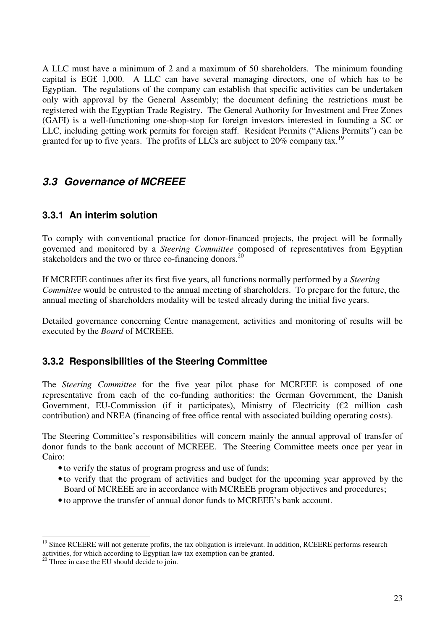A LLC must have a minimum of 2 and a maximum of 50 shareholders. The minimum founding capital is EG£ 1,000. A LLC can have several managing directors, one of which has to be Egyptian. The regulations of the company can establish that specific activities can be undertaken only with approval by the General Assembly; the document defining the restrictions must be registered with the Egyptian Trade Registry. The General Authority for Investment and Free Zones (GAFI) is a well-functioning one-shop-stop for foreign investors interested in founding a SC or LLC, including getting work permits for foreign staff. Resident Permits ("Aliens Permits") can be granted for up to five years. The profits of LLCs are subject to 20% company tax.<sup>19</sup>

# **3.3 Governance of MCREEE**

#### **3.3.1 An interim solution**

To comply with conventional practice for donor-financed projects, the project will be formally governed and monitored by a *Steering Committee* composed of representatives from Egyptian stakeholders and the two or three co-financing donors. $^{20}$ 

If MCREEE continues after its first five years, all functions normally performed by a *Steering Committee* would be entrusted to the annual meeting of shareholders. To prepare for the future, the annual meeting of shareholders modality will be tested already during the initial five years.

Detailed governance concerning Centre management, activities and monitoring of results will be executed by the *Board* of MCREEE.

#### **3.3.2 Responsibilities of the Steering Committee**

The *Steering Committee* for the five year pilot phase for MCREEE is composed of one representative from each of the co-funding authorities: the German Government, the Danish Government, EU-Commission (if it participates), Ministry of Electricity ( $\epsilon$ 2 million cash contribution) and NREA (financing of free office rental with associated building operating costs).

The Steering Committee's responsibilities will concern mainly the annual approval of transfer of donor funds to the bank account of MCREEE. The Steering Committee meets once per year in Cairo:

- to verify the status of program progress and use of funds;
- to verify that the program of activities and budget for the upcoming year approved by the Board of MCREEE are in accordance with MCREEE program objectives and procedures;
- to approve the transfer of annual donor funds to MCREEE's bank account.

 $\overline{a}$ 

<sup>&</sup>lt;sup>19</sup> Since RCEERE will not generate profits, the tax obligation is irrelevant. In addition, RCEERE performs research activities, for which according to Egyptian law tax exemption can be granted.

<sup>&</sup>lt;sup>20</sup> Three in case the EU should decide to join.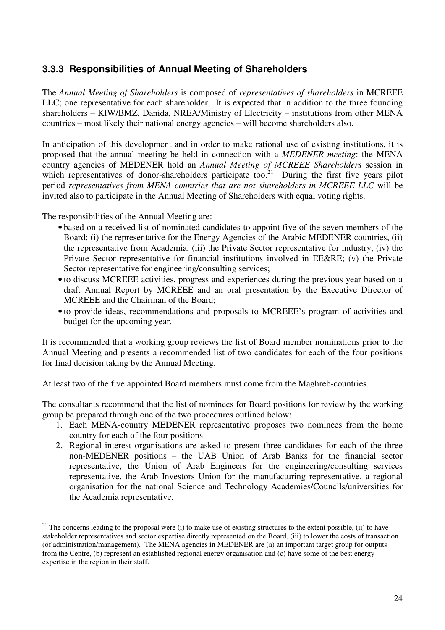# **3.3.3 Responsibilities of Annual Meeting of Shareholders**

The *Annual Meeting of Shareholders* is composed of *representatives of shareholders* in MCREEE LLC; one representative for each shareholder. It is expected that in addition to the three founding shareholders – KfW/BMZ, Danida, NREA/Ministry of Electricity – institutions from other MENA countries – most likely their national energy agencies – will become shareholders also.

In anticipation of this development and in order to make rational use of existing institutions, it is proposed that the annual meeting be held in connection with a *MEDENER meeting*: the MENA country agencies of MEDENER hold an *Annual Meeting of MCREEE Shareholders* session in which representatives of donor-shareholders participate too.<sup>21</sup> During the first five years pilot period *representatives from MENA countries that are not shareholders in MCREEE LLC* will be invited also to participate in the Annual Meeting of Shareholders with equal voting rights.

The responsibilities of the Annual Meeting are:

 $\overline{a}$ 

- based on a received list of nominated candidates to appoint five of the seven members of the Board: (i) the representative for the Energy Agencies of the Arabic MEDENER countries, (ii) the representative from Academia, (iii) the Private Sector representative for industry, (iv) the Private Sector representative for financial institutions involved in EE&RE; (v) the Private Sector representative for engineering/consulting services;
- to discuss MCREEE activities, progress and experiences during the previous year based on a draft Annual Report by MCREEE and an oral presentation by the Executive Director of MCREEE and the Chairman of the Board;
- to provide ideas, recommendations and proposals to MCREEE's program of activities and budget for the upcoming year.

It is recommended that a working group reviews the list of Board member nominations prior to the Annual Meeting and presents a recommended list of two candidates for each of the four positions for final decision taking by the Annual Meeting.

At least two of the five appointed Board members must come from the Maghreb-countries.

The consultants recommend that the list of nominees for Board positions for review by the working group be prepared through one of the two procedures outlined below:

- 1. Each MENA-country MEDENER representative proposes two nominees from the home country for each of the four positions.
- 2. Regional interest organisations are asked to present three candidates for each of the three non-MEDENER positions – the UAB Union of Arab Banks for the financial sector representative, the Union of Arab Engineers for the engineering/consulting services representative, the Arab Investors Union for the manufacturing representative, a regional organisation for the national Science and Technology Academies/Councils/universities for the Academia representative.

 $21$  The concerns leading to the proposal were (i) to make use of existing structures to the extent possible, (ii) to have stakeholder representatives and sector expertise directly represented on the Board, (iii) to lower the costs of transaction (of administration/management). The MENA agencies in MEDENER are (a) an important target group for outputs from the Centre, (b) represent an established regional energy organisation and (c) have some of the best energy expertise in the region in their staff.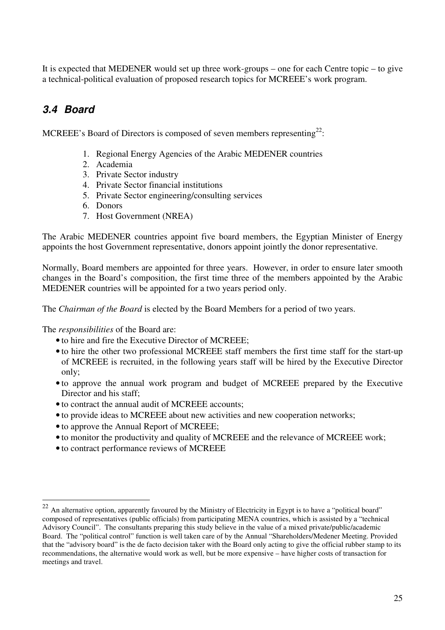It is expected that MEDENER would set up three work-groups – one for each Centre topic – to give a technical-political evaluation of proposed research topics for MCREEE's work program.

# **3.4 Board**

MCREEE's Board of Directors is composed of seven members representing<sup>22</sup>:

- 1. Regional Energy Agencies of the Arabic MEDENER countries
- 2. Academia
- 3. Private Sector industry
- 4. Private Sector financial institutions
- 5. Private Sector engineering/consulting services
- 6. Donors
- 7. Host Government (NREA)

The Arabic MEDENER countries appoint five board members, the Egyptian Minister of Energy appoints the host Government representative, donors appoint jointly the donor representative.

Normally, Board members are appointed for three years. However, in order to ensure later smooth changes in the Board's composition, the first time three of the members appointed by the Arabic MEDENER countries will be appointed for a two years period only.

The *Chairman of the Board* is elected by the Board Members for a period of two years.

The *responsibilities* of the Board are:

 $\overline{a}$ 

- to hire and fire the Executive Director of MCREEE;
- to hire the other two professional MCREEE staff members the first time staff for the start-up of MCREEE is recruited, in the following years staff will be hired by the Executive Director only;
- to approve the annual work program and budget of MCREEE prepared by the Executive Director and his staff:
- to contract the annual audit of MCREEE accounts;
- to provide ideas to MCREEE about new activities and new cooperation networks;
- to approve the Annual Report of MCREEE;
- to monitor the productivity and quality of MCREEE and the relevance of MCREEE work;
- to contract performance reviews of MCREEE

<sup>&</sup>lt;sup>22</sup> An alternative option, apparently favoured by the Ministry of Electricity in Egypt is to have a "political board" composed of representatives (public officials) from participating MENA countries, which is assisted by a "technical Advisory Council". The consultants preparing this study believe in the value of a mixed private/public/academic Board. The "political control" function is well taken care of by the Annual "Shareholders/Medener Meeting. Provided that the "advisory board" is the de facto decision taker with the Board only acting to give the official rubber stamp to its recommendations, the alternative would work as well, but be more expensive – have higher costs of transaction for meetings and travel.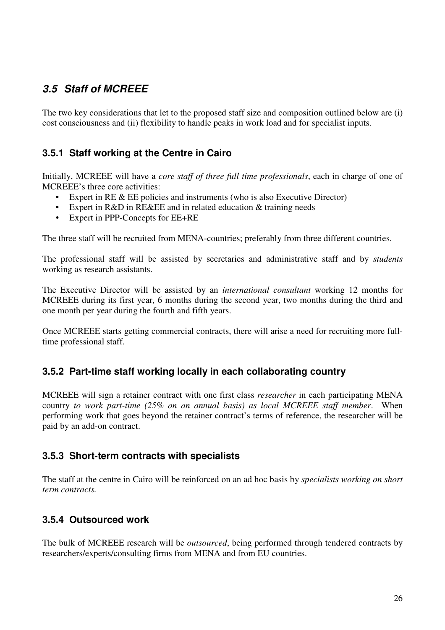# **3.5 Staff of MCREEE**

The two key considerations that let to the proposed staff size and composition outlined below are (i) cost consciousness and (ii) flexibility to handle peaks in work load and for specialist inputs.

# **3.5.1 Staff working at the Centre in Cairo**

Initially, MCREEE will have a *core staff of three full time professionals*, each in charge of one of MCREEE's three core activities:

- Expert in RE & EE policies and instruments (who is also Executive Director)
- Expert in R&D in RE&EE and in related education & training needs
- Expert in PPP-Concepts for EE+RE

The three staff will be recruited from MENA-countries; preferably from three different countries.

The professional staff will be assisted by secretaries and administrative staff and by *students* working as research assistants.

The Executive Director will be assisted by an *international consultant* working 12 months for MCREEE during its first year, 6 months during the second year, two months during the third and one month per year during the fourth and fifth years.

Once MCREEE starts getting commercial contracts, there will arise a need for recruiting more fulltime professional staff.

#### **3.5.2 Part-time staff working locally in each collaborating country**

MCREEE will sign a retainer contract with one first class *researcher* in each participating MENA country *to work part-time (25% on an annual basis) as local MCREEE staff member*. When performing work that goes beyond the retainer contract's terms of reference, the researcher will be paid by an add-on contract.

#### **3.5.3 Short-term contracts with specialists**

The staff at the centre in Cairo will be reinforced on an ad hoc basis by *specialists working on short term contracts.*

### **3.5.4 Outsourced work**

The bulk of MCREEE research will be *outsourced*, being performed through tendered contracts by researchers/experts/consulting firms from MENA and from EU countries.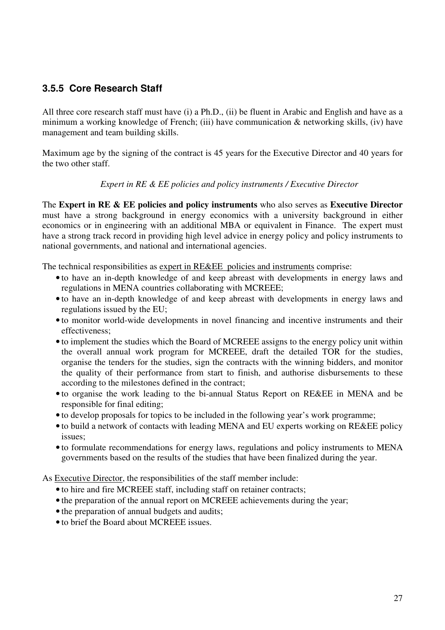### **3.5.5 Core Research Staff**

All three core research staff must have (i) a Ph.D., (ii) be fluent in Arabic and English and have as a minimum a working knowledge of French; (iii) have communication & networking skills, (iv) have management and team building skills.

Maximum age by the signing of the contract is 45 years for the Executive Director and 40 years for the two other staff.

#### *Expert in RE & EE policies and policy instruments / Executive Director*

The **Expert in RE & EE policies and policy instruments** who also serves as **Executive Director** must have a strong background in energy economics with a university background in either economics or in engineering with an additional MBA or equivalent in Finance. The expert must have a strong track record in providing high level advice in energy policy and policy instruments to national governments, and national and international agencies.

The technical responsibilities as expert in RE&EE policies and instruments comprise:

- to have an in-depth knowledge of and keep abreast with developments in energy laws and regulations in MENA countries collaborating with MCREEE;
- to have an in-depth knowledge of and keep abreast with developments in energy laws and regulations issued by the EU;
- to monitor world-wide developments in novel financing and incentive instruments and their effectiveness;
- to implement the studies which the Board of MCREEE assigns to the energy policy unit within the overall annual work program for MCREEE, draft the detailed TOR for the studies, organise the tenders for the studies, sign the contracts with the winning bidders, and monitor the quality of their performance from start to finish, and authorise disbursements to these according to the milestones defined in the contract;
- to organise the work leading to the bi-annual Status Report on RE&EE in MENA and be responsible for final editing;
- to develop proposals for topics to be included in the following year's work programme;
- to build a network of contacts with leading MENA and EU experts working on RE&EE policy issues;
- to formulate recommendations for energy laws, regulations and policy instruments to MENA governments based on the results of the studies that have been finalized during the year.

As Executive Director, the responsibilities of the staff member include:

- to hire and fire MCREEE staff, including staff on retainer contracts;
- the preparation of the annual report on MCREEE achievements during the year;
- the preparation of annual budgets and audits;
- to brief the Board about MCREEE issues.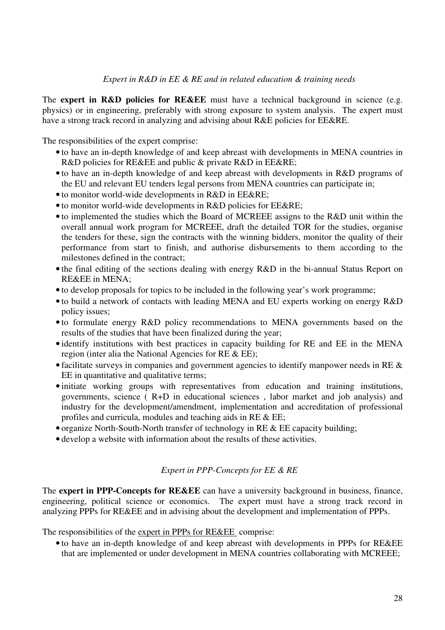#### *Expert in R&D in EE & RE and in related education & training needs*

The **expert in R&D policies for RE&EE** must have a technical background in science (e.g. physics) or in engineering, preferably with strong exposure to system analysis. The expert must have a strong track record in analyzing and advising about R&E policies for EE&RE.

The responsibilities of the expert comprise:

- to have an in-depth knowledge of and keep abreast with developments in MENA countries in R&D policies for RE&EE and public & private R&D in EE&RE;
- to have an in-depth knowledge of and keep abreast with developments in R&D programs of the EU and relevant EU tenders legal persons from MENA countries can participate in;
- to monitor world-wide developments in R&D in EE&RE;
- to monitor world-wide developments in R&D policies for EE&RE;
- to implemented the studies which the Board of MCREEE assigns to the R&D unit within the overall annual work program for MCREEE, draft the detailed TOR for the studies, organise the tenders for these, sign the contracts with the winning bidders, monitor the quality of their performance from start to finish, and authorise disbursements to them according to the milestones defined in the contract;
- the final editing of the sections dealing with energy R&D in the bi-annual Status Report on RE&EE in MENA;
- to develop proposals for topics to be included in the following year's work programme;
- to build a network of contacts with leading MENA and EU experts working on energy R&D policy issues;
- to formulate energy R&D policy recommendations to MENA governments based on the results of the studies that have been finalized during the year;
- identify institutions with best practices in capacity building for RE and EE in the MENA region (inter alia the National Agencies for RE & EE);
- facilitate surveys in companies and government agencies to identify manpower needs in RE & EE in quantitative and qualitative terms;
- initiate working groups with representatives from education and training institutions, governments, science ( R+D in educational sciences , labor market and job analysis) and industry for the development/amendment, implementation and accreditation of professional profiles and curricula, modules and teaching aids in RE & EE;
- organize North-South-North transfer of technology in RE & EE capacity building;
- develop a website with information about the results of these activities.

#### *Expert in PPP-Concepts for EE & RE*

The **expert in PPP-Concepts for RE&EE** can have a university background in business, finance, engineering, political science or economics. The expert must have a strong track record in analyzing PPPs for RE&EE and in advising about the development and implementation of PPPs.

The responsibilities of the expert in PPPs for RE&EE comprise:

• to have an in-depth knowledge of and keep abreast with developments in PPPs for RE&EE that are implemented or under development in MENA countries collaborating with MCREEE;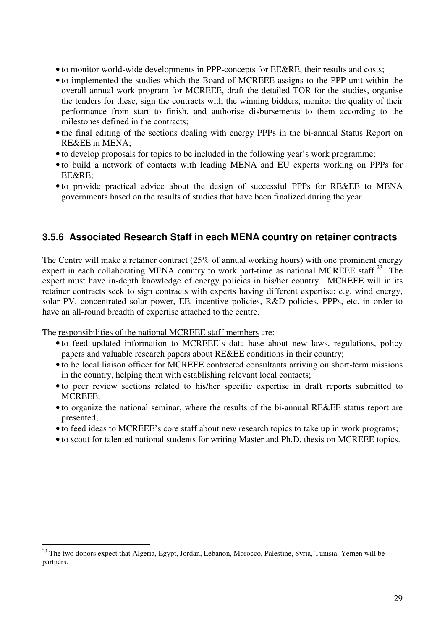- to monitor world-wide developments in PPP-concepts for EE&RE, their results and costs;
- to implemented the studies which the Board of MCREEE assigns to the PPP unit within the overall annual work program for MCREEE, draft the detailed TOR for the studies, organise the tenders for these, sign the contracts with the winning bidders, monitor the quality of their performance from start to finish, and authorise disbursements to them according to the milestones defined in the contracts;
- the final editing of the sections dealing with energy PPPs in the bi-annual Status Report on RE&EE in MENA;
- to develop proposals for topics to be included in the following year's work programme;
- to build a network of contacts with leading MENA and EU experts working on PPPs for EE&RE;
- to provide practical advice about the design of successful PPPs for RE&EE to MENA governments based on the results of studies that have been finalized during the year.

#### **3.5.6 Associated Research Staff in each MENA country on retainer contracts**

The Centre will make a retainer contract (25% of annual working hours) with one prominent energy expert in each collaborating MENA country to work part-time as national MCREEE staff.<sup>23</sup> The expert must have in-depth knowledge of energy policies in his/her country. MCREEE will in its retainer contracts seek to sign contracts with experts having different expertise: e.g. wind energy, solar PV, concentrated solar power, EE, incentive policies, R&D policies, PPPs, etc. in order to have an all-round breadth of expertise attached to the centre.

The responsibilities of the national MCREEE staff members are:

 $\overline{a}$ 

- to feed updated information to MCREEE's data base about new laws, regulations, policy papers and valuable research papers about RE&EE conditions in their country;
- to be local liaison officer for MCREEE contracted consultants arriving on short-term missions in the country, helping them with establishing relevant local contacts;
- to peer review sections related to his/her specific expertise in draft reports submitted to MCREEE;
- to organize the national seminar, where the results of the bi-annual RE&EE status report are presented;
- to feed ideas to MCREEE's core staff about new research topics to take up in work programs;
- to scout for talented national students for writing Master and Ph.D. thesis on MCREEE topics.

<sup>&</sup>lt;sup>23</sup> The two donors expect that Algeria, Egypt, Jordan, Lebanon, Morocco, Palestine, Syria, Tunisia, Yemen will be partners.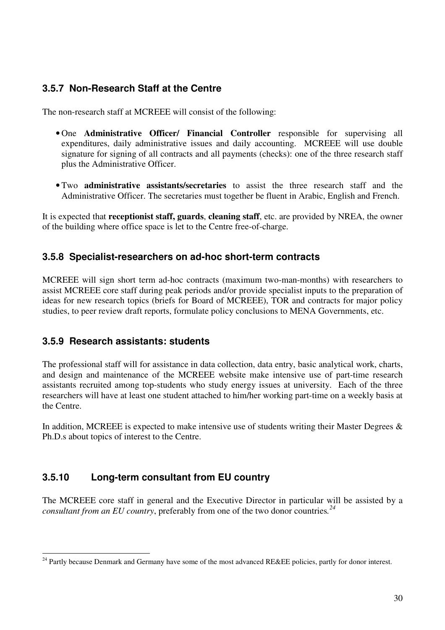### **3.5.7 Non-Research Staff at the Centre**

The non-research staff at MCREEE will consist of the following:

- One **Administrative Officer/ Financial Controller** responsible for supervising all expenditures, daily administrative issues and daily accounting. MCREEE will use double signature for signing of all contracts and all payments (checks): one of the three research staff plus the Administrative Officer.
- Two **administrative assistants/secretaries** to assist the three research staff and the Administrative Officer. The secretaries must together be fluent in Arabic, English and French.

It is expected that **receptionist staff, guards**, **cleaning staff**, etc. are provided by NREA, the owner of the building where office space is let to the Centre free-of-charge.

#### **3.5.8 Specialist-researchers on ad-hoc short-term contracts**

MCREEE will sign short term ad-hoc contracts (maximum two-man-months) with researchers to assist MCREEE core staff during peak periods and/or provide specialist inputs to the preparation of ideas for new research topics (briefs for Board of MCREEE), TOR and contracts for major policy studies, to peer review draft reports, formulate policy conclusions to MENA Governments, etc.

### **3.5.9 Research assistants: students**

 $\overline{a}$ 

The professional staff will for assistance in data collection, data entry, basic analytical work, charts, and design and maintenance of the MCREEE website make intensive use of part-time research assistants recruited among top-students who study energy issues at university. Each of the three researchers will have at least one student attached to him/her working part-time on a weekly basis at the Centre.

In addition, MCREEE is expected to make intensive use of students writing their Master Degrees  $\&$ Ph.D.s about topics of interest to the Centre.

### **3.5.10 Long-term consultant from EU country**

The MCREEE core staff in general and the Executive Director in particular will be assisted by a *consultant from an EU country*, preferably from one of the two donor countries*. 24*

<sup>&</sup>lt;sup>24</sup> Partly because Denmark and Germany have some of the most advanced RE&EE policies, partly for donor interest.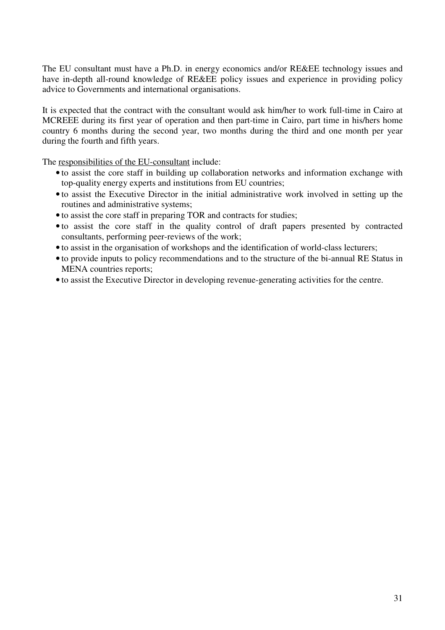The EU consultant must have a Ph.D. in energy economics and/or RE&EE technology issues and have in-depth all-round knowledge of RE&EE policy issues and experience in providing policy advice to Governments and international organisations.

It is expected that the contract with the consultant would ask him/her to work full-time in Cairo at MCREEE during its first year of operation and then part-time in Cairo, part time in his/hers home country 6 months during the second year, two months during the third and one month per year during the fourth and fifth years.

The responsibilities of the EU-consultant include:

- to assist the core staff in building up collaboration networks and information exchange with top-quality energy experts and institutions from EU countries;
- to assist the Executive Director in the initial administrative work involved in setting up the routines and administrative systems;
- to assist the core staff in preparing TOR and contracts for studies;
- to assist the core staff in the quality control of draft papers presented by contracted consultants, performing peer-reviews of the work;
- to assist in the organisation of workshops and the identification of world-class lecturers;
- to provide inputs to policy recommendations and to the structure of the bi-annual RE Status in MENA countries reports;
- to assist the Executive Director in developing revenue-generating activities for the centre.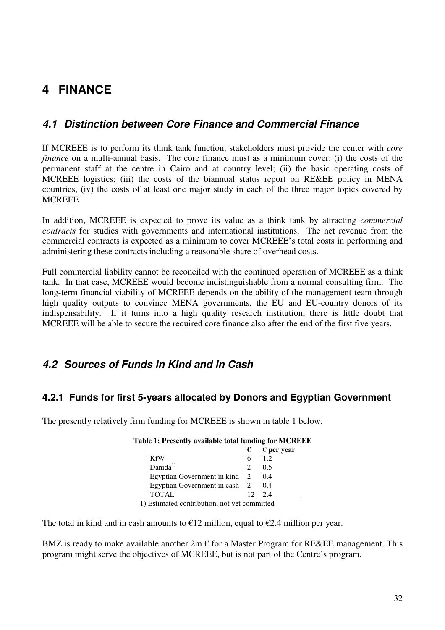# **4 FINANCE**

# **4.1 Distinction between Core Finance and Commercial Finance**

If MCREEE is to perform its think tank function, stakeholders must provide the center with *core finance* on a multi-annual basis. The core finance must as a minimum cover: (i) the costs of the permanent staff at the centre in Cairo and at country level; (ii) the basic operating costs of MCREEE logistics; (iii) the costs of the biannual status report on RE&EE policy in MENA countries, (iv) the costs of at least one major study in each of the three major topics covered by MCREEE.

In addition, MCREEE is expected to prove its value as a think tank by attracting *commercial contracts* for studies with governments and international institutions. The net revenue from the commercial contracts is expected as a minimum to cover MCREEE's total costs in performing and administering these contracts including a reasonable share of overhead costs.

Full commercial liability cannot be reconciled with the continued operation of MCREEE as a think tank. In that case, MCREEE would become indistinguishable from a normal consulting firm. The long-term financial viability of MCREEE depends on the ability of the management team through high quality outputs to convince MENA governments, the EU and EU-country donors of its indispensability. If it turns into a high quality research institution, there is little doubt that MCREEE will be able to secure the required core finance also after the end of the first five years.

# **4.2 Sources of Funds in Kind and in Cash**

### **4.2.1 Funds for first 5-years allocated by Donors and Egyptian Government**

The presently relatively firm funding for MCREEE is shown in table 1 below.

|                             | $\epsilon$ per year |
|-----------------------------|---------------------|
| <b>KfW</b>                  |                     |
| Danida $^{1)}$              | () 5                |
| Egyptian Government in kind | 04                  |
| Egyptian Government in cash | 04                  |
| TOTAL                       |                     |

| Table 1: Presently available total funding for MCREEE |  |  |
|-------------------------------------------------------|--|--|
|                                                       |  |  |

1) Estimated contribution, not yet committed

The total in kind and in cash amounts to  $\epsilon$ 12 million, equal to  $\epsilon$ 2.4 million per year.

BMZ is ready to make available another  $2m \in \mathfrak{f}$  for a Master Program for RE&EE management. This program might serve the objectives of MCREEE, but is not part of the Centre's program.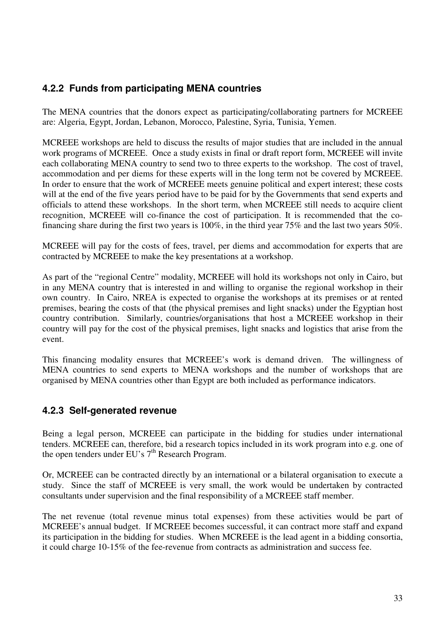# **4.2.2 Funds from participating MENA countries**

The MENA countries that the donors expect as participating/collaborating partners for MCREEE are: Algeria, Egypt, Jordan, Lebanon, Morocco, Palestine, Syria, Tunisia, Yemen.

MCREEE workshops are held to discuss the results of major studies that are included in the annual work programs of MCREEE. Once a study exists in final or draft report form, MCREEE will invite each collaborating MENA country to send two to three experts to the workshop. The cost of travel, accommodation and per diems for these experts will in the long term not be covered by MCREEE. In order to ensure that the work of MCREEE meets genuine political and expert interest; these costs will at the end of the five years period have to be paid for by the Governments that send experts and officials to attend these workshops. In the short term, when MCREEE still needs to acquire client recognition, MCREEE will co-finance the cost of participation. It is recommended that the cofinancing share during the first two years is 100%, in the third year 75% and the last two years 50%.

MCREEE will pay for the costs of fees, travel, per diems and accommodation for experts that are contracted by MCREEE to make the key presentations at a workshop.

As part of the "regional Centre" modality, MCREEE will hold its workshops not only in Cairo, but in any MENA country that is interested in and willing to organise the regional workshop in their own country. In Cairo, NREA is expected to organise the workshops at its premises or at rented premises, bearing the costs of that (the physical premises and light snacks) under the Egyptian host country contribution. Similarly, countries/organisations that host a MCREEE workshop in their country will pay for the cost of the physical premises, light snacks and logistics that arise from the event.

This financing modality ensures that MCREEE's work is demand driven. The willingness of MENA countries to send experts to MENA workshops and the number of workshops that are organised by MENA countries other than Egypt are both included as performance indicators.

### **4.2.3 Self-generated revenue**

Being a legal person, MCREEE can participate in the bidding for studies under international tenders. MCREEE can, therefore, bid a research topics included in its work program into e.g. one of the open tenders under EU's  $7<sup>th</sup>$  Research Program.

Or, MCREEE can be contracted directly by an international or a bilateral organisation to execute a study. Since the staff of MCREEE is very small, the work would be undertaken by contracted consultants under supervision and the final responsibility of a MCREEE staff member.

The net revenue (total revenue minus total expenses) from these activities would be part of MCREEE's annual budget. If MCREEE becomes successful, it can contract more staff and expand its participation in the bidding for studies. When MCREEE is the lead agent in a bidding consortia, it could charge 10-15% of the fee-revenue from contracts as administration and success fee.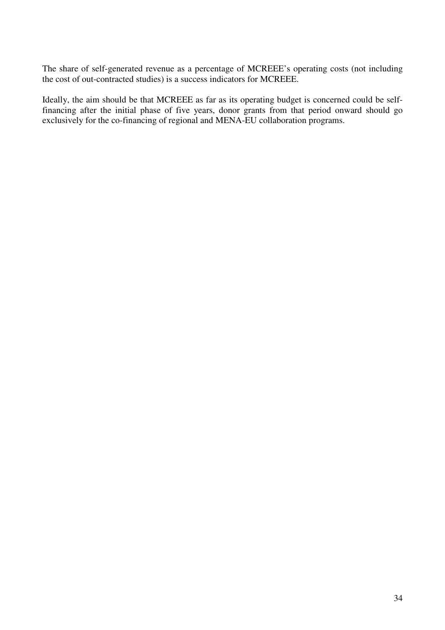The share of self-generated revenue as a percentage of MCREEE's operating costs (not including the cost of out-contracted studies) is a success indicators for MCREEE.

Ideally, the aim should be that MCREEE as far as its operating budget is concerned could be selffinancing after the initial phase of five years, donor grants from that period onward should go exclusively for the co-financing of regional and MENA-EU collaboration programs.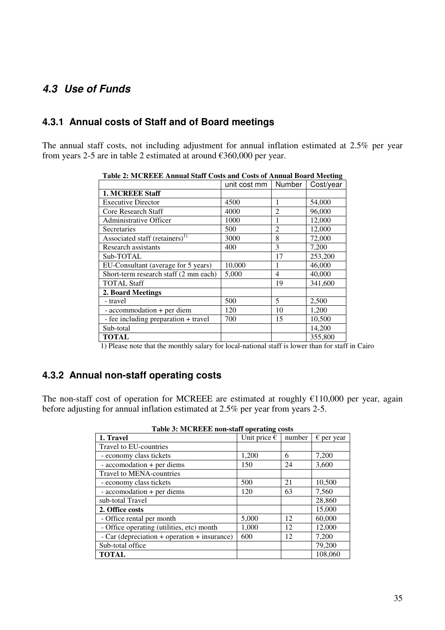# **4.3 Use of Funds**

#### **4.3.1 Annual costs of Staff and of Board meetings**

The annual staff costs, not including adjustment for annual inflation estimated at 2.5% per year from years 2-5 are in table 2 estimated at around €360,000 per year.

|                                            | unit cost mm | Number         | Cost/year |
|--------------------------------------------|--------------|----------------|-----------|
| 1. MCREEE Staff                            |              |                |           |
| <b>Executive Director</b>                  | 4500         | 1              | 54,000    |
| Core Research Staff                        | 4000         | $\overline{2}$ | 96,000    |
| Administrative Officer                     | 1000         | 1              | 12,000    |
| Secretaries                                | 500          | $\overline{2}$ | 12,000    |
| Associated staff (retainers) <sup>1)</sup> | 3000         | 8              | 72,000    |
| Research assistants                        | 400          | 3              | 7,200     |
| Sub-TOTAL                                  |              | 17             | 253,200   |
| EU-Consultant (average for 5 years)        | 10,000       | 1              | 46,000    |
| Short-term research staff (2 mm each)      | 5,000        | $\overline{4}$ | 40,000    |
| <b>TOTAL Staff</b>                         |              | 19             | 341,600   |
| 2. Board Meetings                          |              |                |           |
| - travel                                   | 500          | 5              | 2,500     |
| - accommodation + per diem                 | 120          | 10             | 1,200     |
| - fee including preparation + travel       | 700          | 15             | 10,500    |
| Sub-total                                  |              |                | 14,200    |
| <b>TOTAL</b>                               |              |                | 355,800   |

**Table 2: MCREEE Annual Staff Costs and Costs of Annual Board Meeting** 

1) Please note that the monthly salary for local-national staff is lower than for staff in Cairo

### **4.3.2 Annual non-staff operating costs**

The non-staff cost of operation for MCREEE are estimated at roughly  $€110,000$  per year, again before adjusting for annual inflation estimated at 2.5% per year from years 2-5.

| 1. Travel                                    | $\frac{1}{2}$ and $\frac{1}{2}$ and $\frac{1}{2}$ are $\frac{1}{2}$ and $\frac{1}{2}$ and $\frac{1}{2}$ and $\frac{1}{2}$ and $\frac{1}{2}$ and $\frac{1}{2}$ and $\frac{1}{2}$ and $\frac{1}{2}$ and $\frac{1}{2}$ and $\frac{1}{2}$ and $\frac{1}{2}$ and $\frac{1}{2}$ and $\frac{1}{2}$ a<br>Unit price $\epsilon$ | number | $\epsilon$ per year |
|----------------------------------------------|------------------------------------------------------------------------------------------------------------------------------------------------------------------------------------------------------------------------------------------------------------------------------------------------------------------------|--------|---------------------|
| Travel to EU-countries                       |                                                                                                                                                                                                                                                                                                                        |        |                     |
| - economy class tickets                      | 1,200                                                                                                                                                                                                                                                                                                                  | 6      | 7,200               |
| - accomodation + per diems                   | 150                                                                                                                                                                                                                                                                                                                    | 24     | 3,600               |
| Travel to MENA-countries                     |                                                                                                                                                                                                                                                                                                                        |        |                     |
| - economy class tickets                      | 500                                                                                                                                                                                                                                                                                                                    | 21     | 10,500              |
| - accomodation + per diems                   | 120                                                                                                                                                                                                                                                                                                                    | 63     | 7,560               |
| sub-total Travel                             |                                                                                                                                                                                                                                                                                                                        |        | 28,860              |
| 2. Office costs                              |                                                                                                                                                                                                                                                                                                                        |        | 15,000              |
| - Office rental per month                    | 5,000                                                                                                                                                                                                                                                                                                                  | 12     | 60,000              |
| - Office operating (utilities, etc) month    | 1,000                                                                                                                                                                                                                                                                                                                  | 12     | 12,000              |
| - Car (depreciation + operation + insurance) | 600                                                                                                                                                                                                                                                                                                                    | 12     | 7,200               |
| Sub-total office                             |                                                                                                                                                                                                                                                                                                                        |        | 79,200              |
| <b>TOTAL</b>                                 |                                                                                                                                                                                                                                                                                                                        |        | 108,060             |

**Table 3: MCREEE non-staff operating costs**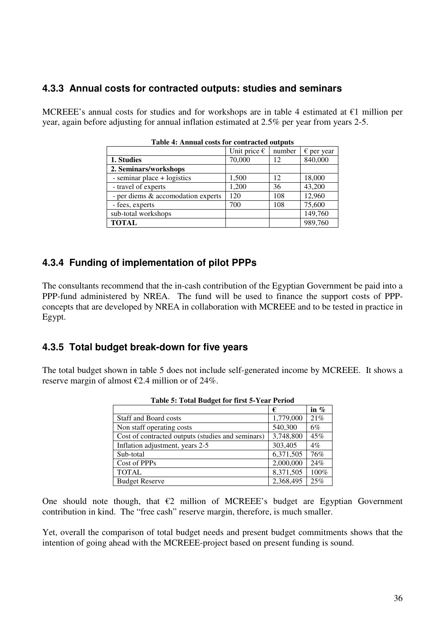#### **4.3.3 Annual costs for contracted outputs: studies and seminars**

MCREEE's annual costs for studies and for workshops are in table 4 estimated at  $\epsilon$ 1 million per year, again before adjusting for annual inflation estimated at 2.5% per year from years 2-5.

| Table 4: Allitual costs for contracted outputs |                       |        |                     |  |  |
|------------------------------------------------|-----------------------|--------|---------------------|--|--|
|                                                | Unit price $\epsilon$ | number | $\epsilon$ per year |  |  |
| 1. Studies                                     | 70,000                | 12     | 840,000             |  |  |
| 2. Seminars/workshops                          |                       |        |                     |  |  |
| - seminar place + logistics                    | 1,500                 | 12     | 18,000              |  |  |
| - travel of experts                            | 1,200                 | 36     | 43,200              |  |  |
| - per diems & accomodation experts             | 120                   | 108    | 12,960              |  |  |
| - fees, experts                                | 700                   | 108    | 75,600              |  |  |
| sub-total workshops                            |                       |        | 149,760             |  |  |
| <b>TOTAL</b>                                   |                       |        | 989,760             |  |  |

**Table 4: Annual costs for contracted outputs** 

#### **4.3.4 Funding of implementation of pilot PPPs**

The consultants recommend that the in-cash contribution of the Egyptian Government be paid into a PPP-fund administered by NREA. The fund will be used to finance the support costs of PPPconcepts that are developed by NREA in collaboration with MCREEE and to be tested in practice in Egypt.

#### **4.3.5 Total budget break-down for five years**

The total budget shown in table 5 does not include self-generated income by MCREEE. It shows a reserve margin of almost  $\epsilon$ 2.4 million or of 24%.

| Table 3. Total Duuget for that $3-1$ can Terrou   |           |         |  |  |
|---------------------------------------------------|-----------|---------|--|--|
|                                                   | €         | in $\%$ |  |  |
| <b>Staff and Board costs</b>                      | 1,779,000 | 21%     |  |  |
| Non staff operating costs                         | 540,300   | 6%      |  |  |
| Cost of contracted outputs (studies and seminars) | 3,748,800 | 45%     |  |  |
| Inflation adjustment, years 2-5                   | 303,405   | $4\%$   |  |  |
| Sub-total                                         | 6,371,505 | 76%     |  |  |
| Cost of PPPs                                      | 2,000,000 | 24%     |  |  |
| <b>TOTAL</b>                                      | 8,371,505 | 100%    |  |  |
| <b>Budget Reserve</b>                             | 2,368,495 | 25%     |  |  |

| Table 5: Total Budget for first 5-Year Period |  |  |  |
|-----------------------------------------------|--|--|--|
|                                               |  |  |  |

One should note though, that  $\epsilon$ 2 million of MCREEE's budget are Egyptian Government contribution in kind. The "free cash" reserve margin, therefore, is much smaller.

Yet, overall the comparison of total budget needs and present budget commitments shows that the intention of going ahead with the MCREEE-project based on present funding is sound.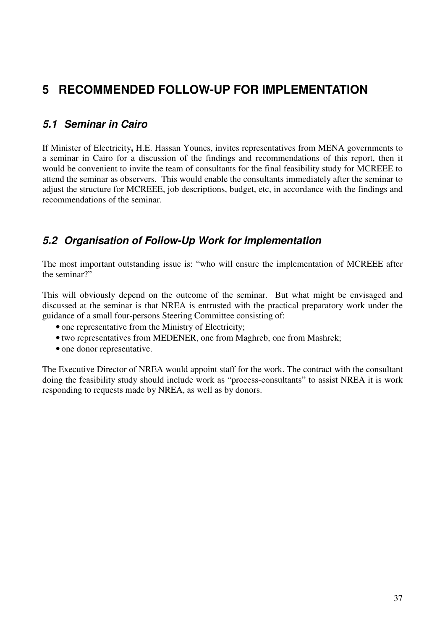# **5 RECOMMENDED FOLLOW-UP FOR IMPLEMENTATION**

# **5.1 Seminar in Cairo**

If Minister of Electricity**,** H.E. Hassan Younes, invites representatives from MENA governments to a seminar in Cairo for a discussion of the findings and recommendations of this report, then it would be convenient to invite the team of consultants for the final feasibility study for MCREEE to attend the seminar as observers. This would enable the consultants immediately after the seminar to adjust the structure for MCREEE, job descriptions, budget, etc, in accordance with the findings and recommendations of the seminar.

# **5.2 Organisation of Follow-Up Work for Implementation**

The most important outstanding issue is: "who will ensure the implementation of MCREEE after the seminar?"

This will obviously depend on the outcome of the seminar. But what might be envisaged and discussed at the seminar is that NREA is entrusted with the practical preparatory work under the guidance of a small four-persons Steering Committee consisting of:

- one representative from the Ministry of Electricity;
- two representatives from MEDENER, one from Maghreb, one from Mashrek;
- one donor representative.

The Executive Director of NREA would appoint staff for the work. The contract with the consultant doing the feasibility study should include work as "process-consultants" to assist NREA it is work responding to requests made by NREA, as well as by donors.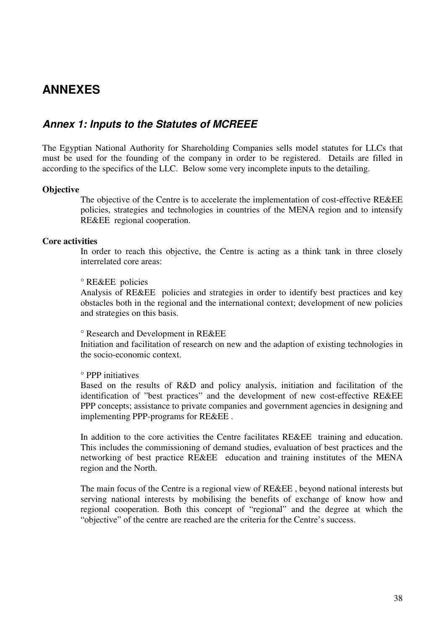# **ANNEXES**

### **Annex 1: Inputs to the Statutes of MCREEE**

The Egyptian National Authority for Shareholding Companies sells model statutes for LLCs that must be used for the founding of the company in order to be registered. Details are filled in according to the specifics of the LLC. Below some very incomplete inputs to the detailing.

#### **Objective**

The objective of the Centre is to accelerate the implementation of cost-effective RE&EE policies, strategies and technologies in countries of the MENA region and to intensify RE&EE regional cooperation.

#### **Core activities**

In order to reach this objective, the Centre is acting as a think tank in three closely interrelated core areas:

#### ° RE&EE policies

Analysis of RE&EE policies and strategies in order to identify best practices and key obstacles both in the regional and the international context; development of new policies and strategies on this basis.

#### ° Research and Development in RE&EE

Initiation and facilitation of research on new and the adaption of existing technologies in the socio-economic context.

#### ° PPP initiatives

Based on the results of R&D and policy analysis, initiation and facilitation of the identification of "best practices" and the development of new cost-effective RE&EE PPP concepts; assistance to private companies and government agencies in designing and implementing PPP-programs for RE&EE .

In addition to the core activities the Centre facilitates RE&EE training and education. This includes the commissioning of demand studies, evaluation of best practices and the networking of best practice RE&EE education and training institutes of the MENA region and the North.

The main focus of the Centre is a regional view of RE&EE , beyond national interests but serving national interests by mobilising the benefits of exchange of know how and regional cooperation. Both this concept of "regional" and the degree at which the "objective" of the centre are reached are the criteria for the Centre's success.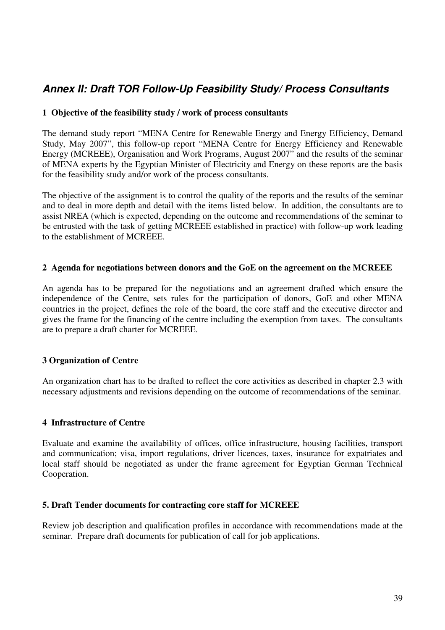# **Annex II: Draft TOR Follow-Up Feasibility Study/ Process Consultants**

#### **1 Objective of the feasibility study / work of process consultants**

The demand study report "MENA Centre for Renewable Energy and Energy Efficiency, Demand Study, May 2007", this follow-up report "MENA Centre for Energy Efficiency and Renewable Energy (MCREEE), Organisation and Work Programs, August 2007" and the results of the seminar of MENA experts by the Egyptian Minister of Electricity and Energy on these reports are the basis for the feasibility study and/or work of the process consultants.

The objective of the assignment is to control the quality of the reports and the results of the seminar and to deal in more depth and detail with the items listed below. In addition, the consultants are to assist NREA (which is expected, depending on the outcome and recommendations of the seminar to be entrusted with the task of getting MCREEE established in practice) with follow-up work leading to the establishment of MCREEE.

#### **2 Agenda for negotiations between donors and the GoE on the agreement on the MCREEE**

An agenda has to be prepared for the negotiations and an agreement drafted which ensure the independence of the Centre, sets rules for the participation of donors, GoE and other MENA countries in the project, defines the role of the board, the core staff and the executive director and gives the frame for the financing of the centre including the exemption from taxes. The consultants are to prepare a draft charter for MCREEE.

#### **3 Organization of Centre**

An organization chart has to be drafted to reflect the core activities as described in chapter 2.3 with necessary adjustments and revisions depending on the outcome of recommendations of the seminar.

#### **4 Infrastructure of Centre**

Evaluate and examine the availability of offices, office infrastructure, housing facilities, transport and communication; visa, import regulations, driver licences, taxes, insurance for expatriates and local staff should be negotiated as under the frame agreement for Egyptian German Technical Cooperation.

#### **5. Draft Tender documents for contracting core staff for MCREEE**

Review job description and qualification profiles in accordance with recommendations made at the seminar. Prepare draft documents for publication of call for job applications.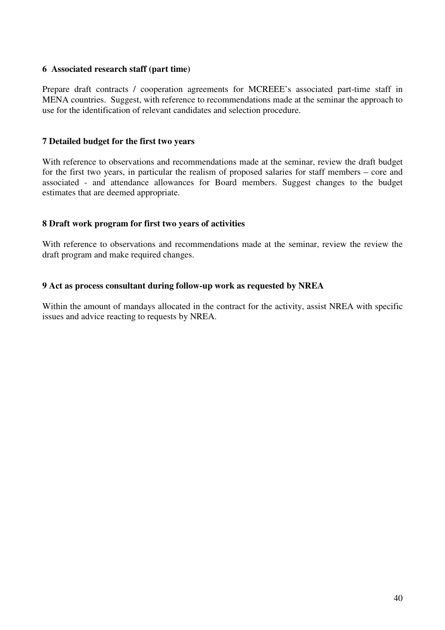#### **6 Associated research staff (part time)**

Prepare draft contracts / cooperation agreements for MCREEE's associated part-time staff in MENA countries. Suggest, with reference to recommendations made at the seminar the approach to use for the identification of relevant candidates and selection procedure.

#### **7 Detailed budget for the first two years**

With reference to observations and recommendations made at the seminar, review the draft budget for the first two years, in particular the realism of proposed salaries for staff members – core and associated - and attendance allowances for Board members. Suggest changes to the budget estimates that are deemed appropriate.

#### **8 Draft work program for first two years of activities**

With reference to observations and recommendations made at the seminar, review the review the draft program and make required changes.

#### **9 Act as process consultant during follow-up work as requested by NREA**

Within the amount of mandays allocated in the contract for the activity, assist NREA with specific issues and advice reacting to requests by NREA.